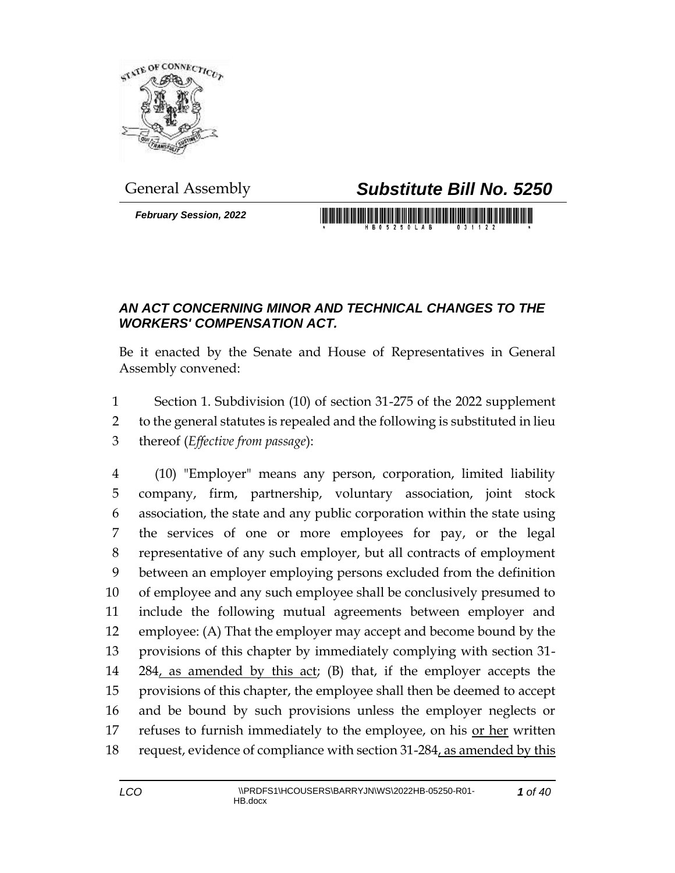

*February Session, 2022*

## General Assembly *Substitute Bill No. 5250*

## *AN ACT CONCERNING MINOR AND TECHNICAL CHANGES TO THE WORKERS' COMPENSATION ACT.*

Be it enacted by the Senate and House of Representatives in General Assembly convened:

1 Section 1. Subdivision (10) of section 31-275 of the 2022 supplement 2 to the general statutes is repealed and the following is substituted in lieu 3 thereof (*Effective from passage*):

 (10) "Employer" means any person, corporation, limited liability company, firm, partnership, voluntary association, joint stock association, the state and any public corporation within the state using the services of one or more employees for pay, or the legal representative of any such employer, but all contracts of employment between an employer employing persons excluded from the definition of employee and any such employee shall be conclusively presumed to include the following mutual agreements between employer and employee: (A) That the employer may accept and become bound by the provisions of this chapter by immediately complying with section 31- 14 284, as amended by this act; (B) that, if the employer accepts the provisions of this chapter, the employee shall then be deemed to accept and be bound by such provisions unless the employer neglects or 17 refuses to furnish immediately to the employee, on his or her written 18 request, evidence of compliance with section 31-284, as amended by this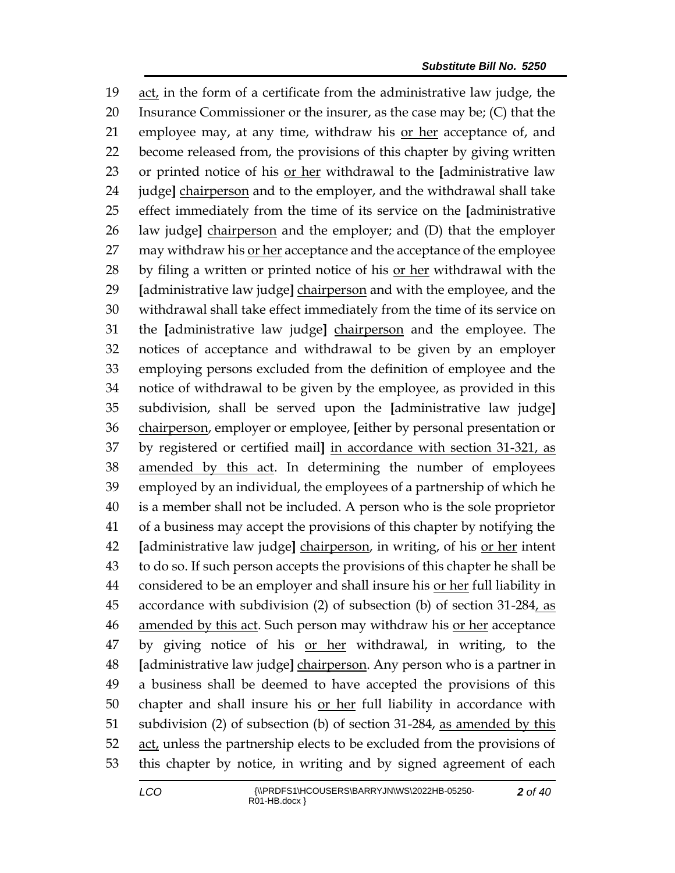act, in the form of a certificate from the administrative law judge, the Insurance Commissioner or the insurer, as the case may be; (C) that the employee may, at any time, withdraw his or her acceptance of, and become released from, the provisions of this chapter by giving written or printed notice of his or her withdrawal to the **[**administrative law judge**]** chairperson and to the employer, and the withdrawal shall take effect immediately from the time of its service on the **[**administrative law judge**]** chairperson and the employer; and (D) that the employer may withdraw his or her acceptance and the acceptance of the employee 28 by filing a written or printed notice of his or her withdrawal with the **[**administrative law judge**]** chairperson and with the employee, and the withdrawal shall take effect immediately from the time of its service on the **[**administrative law judge**]** chairperson and the employee. The notices of acceptance and withdrawal to be given by an employer employing persons excluded from the definition of employee and the notice of withdrawal to be given by the employee, as provided in this subdivision, shall be served upon the **[**administrative law judge**]** chairperson, employer or employee, **[**either by personal presentation or by registered or certified mail**]** in accordance with section 31-321, as amended by this act. In determining the number of employees employed by an individual, the employees of a partnership of which he is a member shall not be included. A person who is the sole proprietor of a business may accept the provisions of this chapter by notifying the **[**administrative law judge**]** chairperson, in writing, of his or her intent to do so. If such person accepts the provisions of this chapter he shall be considered to be an employer and shall insure his or her full liability in accordance with subdivision (2) of subsection (b) of section 31-284, as 46 amended by this act. Such person may withdraw his or her acceptance 47 by giving notice of his or her withdrawal, in writing, to the **[**administrative law judge**]** chairperson. Any person who is a partner in a business shall be deemed to have accepted the provisions of this chapter and shall insure his or her full liability in accordance with subdivision (2) of subsection (b) of section 31-284, as amended by this 52 act, unless the partnership elects to be excluded from the provisions of this chapter by notice, in writing and by signed agreement of each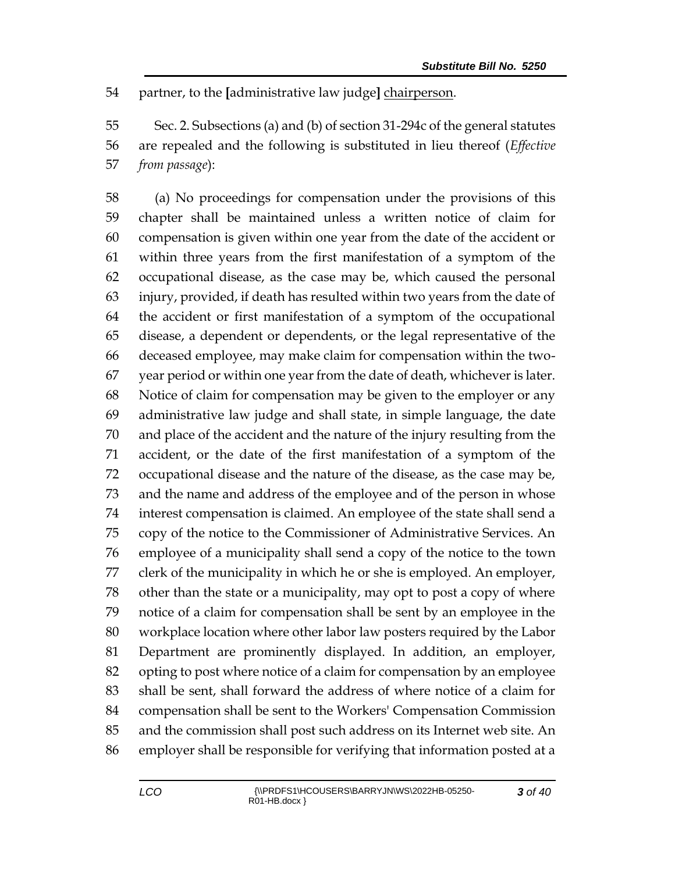partner, to the **[**administrative law judge**]** chairperson.

 Sec. 2. Subsections (a) and (b) of section 31-294c of the general statutes are repealed and the following is substituted in lieu thereof (*Effective from passage*):

 (a) No proceedings for compensation under the provisions of this chapter shall be maintained unless a written notice of claim for compensation is given within one year from the date of the accident or within three years from the first manifestation of a symptom of the occupational disease, as the case may be, which caused the personal injury, provided, if death has resulted within two years from the date of the accident or first manifestation of a symptom of the occupational disease, a dependent or dependents, or the legal representative of the deceased employee, may make claim for compensation within the two- year period or within one year from the date of death, whichever is later. Notice of claim for compensation may be given to the employer or any administrative law judge and shall state, in simple language, the date and place of the accident and the nature of the injury resulting from the accident, or the date of the first manifestation of a symptom of the occupational disease and the nature of the disease, as the case may be, and the name and address of the employee and of the person in whose interest compensation is claimed. An employee of the state shall send a copy of the notice to the Commissioner of Administrative Services. An employee of a municipality shall send a copy of the notice to the town clerk of the municipality in which he or she is employed. An employer, other than the state or a municipality, may opt to post a copy of where notice of a claim for compensation shall be sent by an employee in the workplace location where other labor law posters required by the Labor Department are prominently displayed. In addition, an employer, opting to post where notice of a claim for compensation by an employee shall be sent, shall forward the address of where notice of a claim for compensation shall be sent to the Workers' Compensation Commission and the commission shall post such address on its Internet web site. An employer shall be responsible for verifying that information posted at a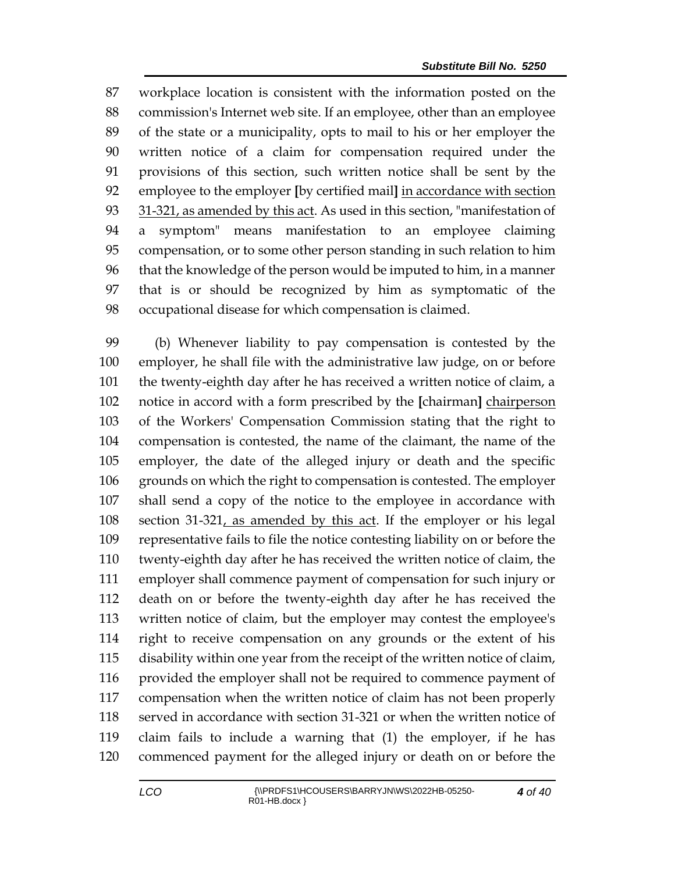workplace location is consistent with the information posted on the commission's Internet web site. If an employee, other than an employee of the state or a municipality, opts to mail to his or her employer the written notice of a claim for compensation required under the provisions of this section, such written notice shall be sent by the employee to the employer **[**by certified mail**]** in accordance with section 93 31-321, as amended by this act. As used in this section, "manifestation of a symptom" means manifestation to an employee claiming compensation, or to some other person standing in such relation to him that the knowledge of the person would be imputed to him, in a manner that is or should be recognized by him as symptomatic of the occupational disease for which compensation is claimed.

 (b) Whenever liability to pay compensation is contested by the employer, he shall file with the administrative law judge, on or before the twenty-eighth day after he has received a written notice of claim, a notice in accord with a form prescribed by the **[**chairman**]** chairperson of the Workers' Compensation Commission stating that the right to compensation is contested, the name of the claimant, the name of the employer, the date of the alleged injury or death and the specific grounds on which the right to compensation is contested. The employer shall send a copy of the notice to the employee in accordance with section 31-321, as amended by this act. If the employer or his legal representative fails to file the notice contesting liability on or before the twenty-eighth day after he has received the written notice of claim, the employer shall commence payment of compensation for such injury or death on or before the twenty-eighth day after he has received the written notice of claim, but the employer may contest the employee's right to receive compensation on any grounds or the extent of his disability within one year from the receipt of the written notice of claim, provided the employer shall not be required to commence payment of compensation when the written notice of claim has not been properly served in accordance with section 31-321 or when the written notice of claim fails to include a warning that (1) the employer, if he has commenced payment for the alleged injury or death on or before the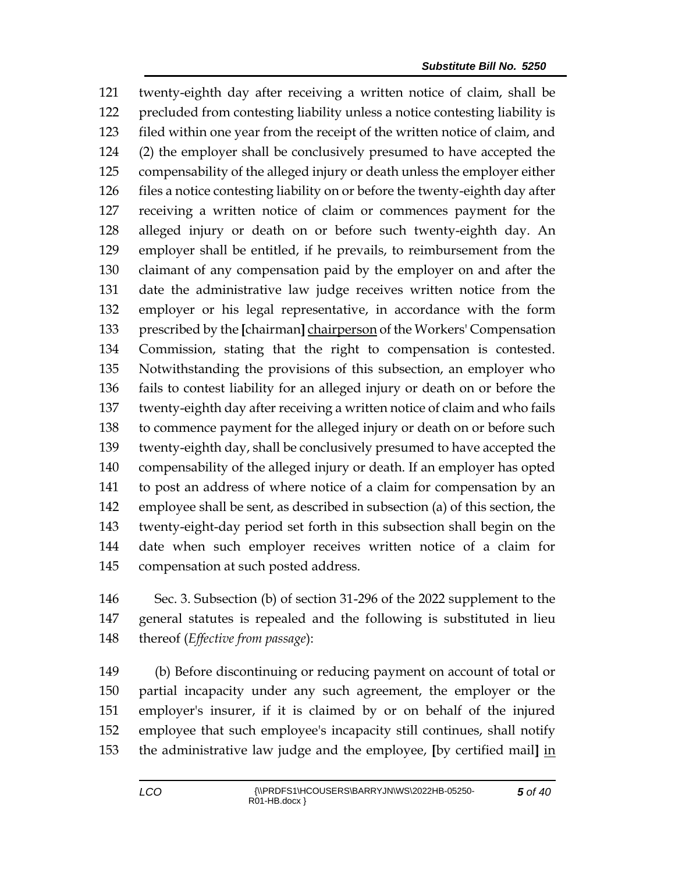twenty-eighth day after receiving a written notice of claim, shall be precluded from contesting liability unless a notice contesting liability is filed within one year from the receipt of the written notice of claim, and (2) the employer shall be conclusively presumed to have accepted the compensability of the alleged injury or death unless the employer either files a notice contesting liability on or before the twenty-eighth day after receiving a written notice of claim or commences payment for the alleged injury or death on or before such twenty-eighth day. An employer shall be entitled, if he prevails, to reimbursement from the claimant of any compensation paid by the employer on and after the date the administrative law judge receives written notice from the employer or his legal representative, in accordance with the form prescribed by the **[**chairman**]** chairperson of the Workers' Compensation Commission, stating that the right to compensation is contested. Notwithstanding the provisions of this subsection, an employer who fails to contest liability for an alleged injury or death on or before the twenty-eighth day after receiving a written notice of claim and who fails to commence payment for the alleged injury or death on or before such twenty-eighth day, shall be conclusively presumed to have accepted the compensability of the alleged injury or death. If an employer has opted to post an address of where notice of a claim for compensation by an employee shall be sent, as described in subsection (a) of this section, the twenty-eight-day period set forth in this subsection shall begin on the date when such employer receives written notice of a claim for compensation at such posted address.

 Sec. 3. Subsection (b) of section 31-296 of the 2022 supplement to the general statutes is repealed and the following is substituted in lieu thereof (*Effective from passage*):

 (b) Before discontinuing or reducing payment on account of total or partial incapacity under any such agreement, the employer or the employer's insurer, if it is claimed by or on behalf of the injured employee that such employee's incapacity still continues, shall notify the administrative law judge and the employee, **[**by certified mail**]** in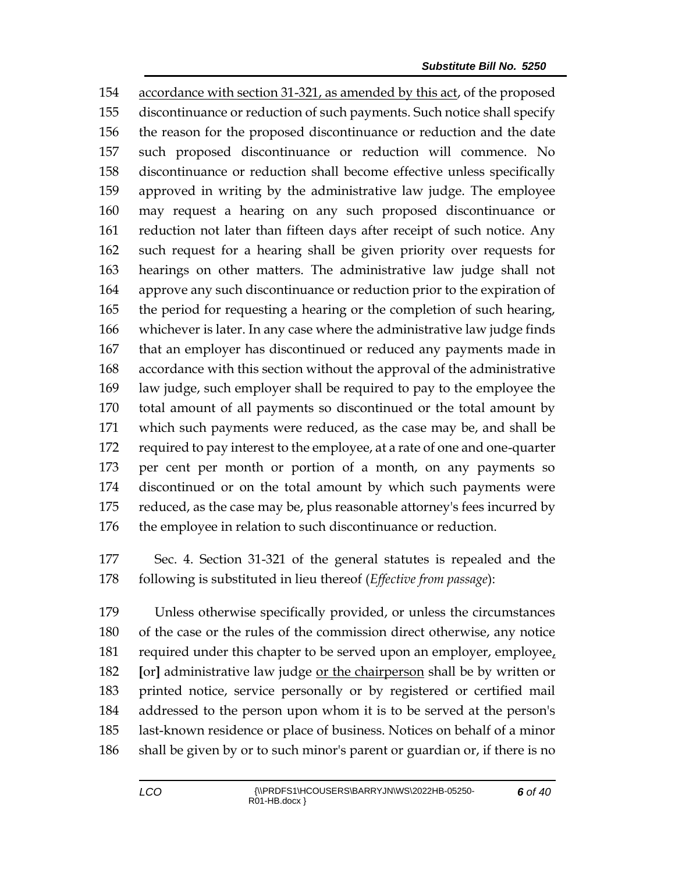accordance with section 31-321, as amended by this act, of the proposed discontinuance or reduction of such payments. Such notice shall specify the reason for the proposed discontinuance or reduction and the date such proposed discontinuance or reduction will commence. No discontinuance or reduction shall become effective unless specifically approved in writing by the administrative law judge. The employee may request a hearing on any such proposed discontinuance or reduction not later than fifteen days after receipt of such notice. Any such request for a hearing shall be given priority over requests for hearings on other matters. The administrative law judge shall not approve any such discontinuance or reduction prior to the expiration of the period for requesting a hearing or the completion of such hearing, whichever is later. In any case where the administrative law judge finds that an employer has discontinued or reduced any payments made in accordance with this section without the approval of the administrative law judge, such employer shall be required to pay to the employee the total amount of all payments so discontinued or the total amount by which such payments were reduced, as the case may be, and shall be required to pay interest to the employee, at a rate of one and one-quarter per cent per month or portion of a month, on any payments so discontinued or on the total amount by which such payments were 175 reduced, as the case may be, plus reasonable attorney's fees incurred by the employee in relation to such discontinuance or reduction.

 Sec. 4. Section 31-321 of the general statutes is repealed and the following is substituted in lieu thereof (*Effective from passage*):

 Unless otherwise specifically provided, or unless the circumstances of the case or the rules of the commission direct otherwise, any notice 181 required under this chapter to be served upon an employer, employee, **[**or**]** administrative law judge or the chairperson shall be by written or printed notice, service personally or by registered or certified mail addressed to the person upon whom it is to be served at the person's last-known residence or place of business. Notices on behalf of a minor shall be given by or to such minor's parent or guardian or, if there is no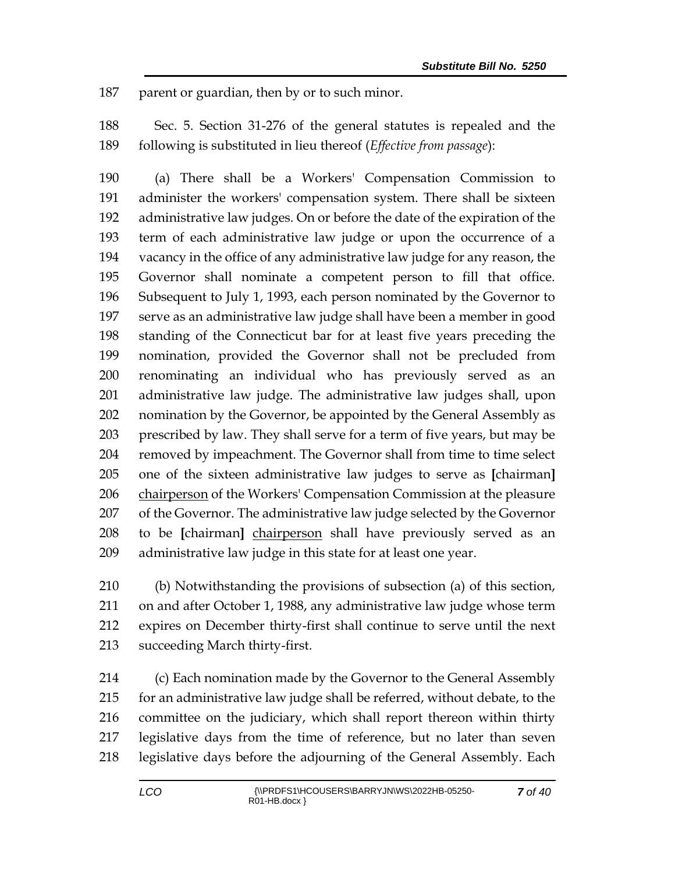187 parent or guardian, then by or to such minor.

 Sec. 5. Section 31-276 of the general statutes is repealed and the following is substituted in lieu thereof (*Effective from passage*):

 (a) There shall be a Workers' Compensation Commission to administer the workers' compensation system. There shall be sixteen administrative law judges. On or before the date of the expiration of the term of each administrative law judge or upon the occurrence of a vacancy in the office of any administrative law judge for any reason, the Governor shall nominate a competent person to fill that office. Subsequent to July 1, 1993, each person nominated by the Governor to serve as an administrative law judge shall have been a member in good standing of the Connecticut bar for at least five years preceding the nomination, provided the Governor shall not be precluded from renominating an individual who has previously served as an administrative law judge. The administrative law judges shall, upon 202 nomination by the Governor, be appointed by the General Assembly as prescribed by law. They shall serve for a term of five years, but may be removed by impeachment. The Governor shall from time to time select one of the sixteen administrative law judges to serve as **[**chairman**]** 206 chairperson of the Workers' Compensation Commission at the pleasure of the Governor. The administrative law judge selected by the Governor to be **[**chairman**]** chairperson shall have previously served as an administrative law judge in this state for at least one year.

 (b) Notwithstanding the provisions of subsection (a) of this section, on and after October 1, 1988, any administrative law judge whose term expires on December thirty-first shall continue to serve until the next succeeding March thirty-first.

 (c) Each nomination made by the Governor to the General Assembly for an administrative law judge shall be referred, without debate, to the committee on the judiciary, which shall report thereon within thirty legislative days from the time of reference, but no later than seven legislative days before the adjourning of the General Assembly. Each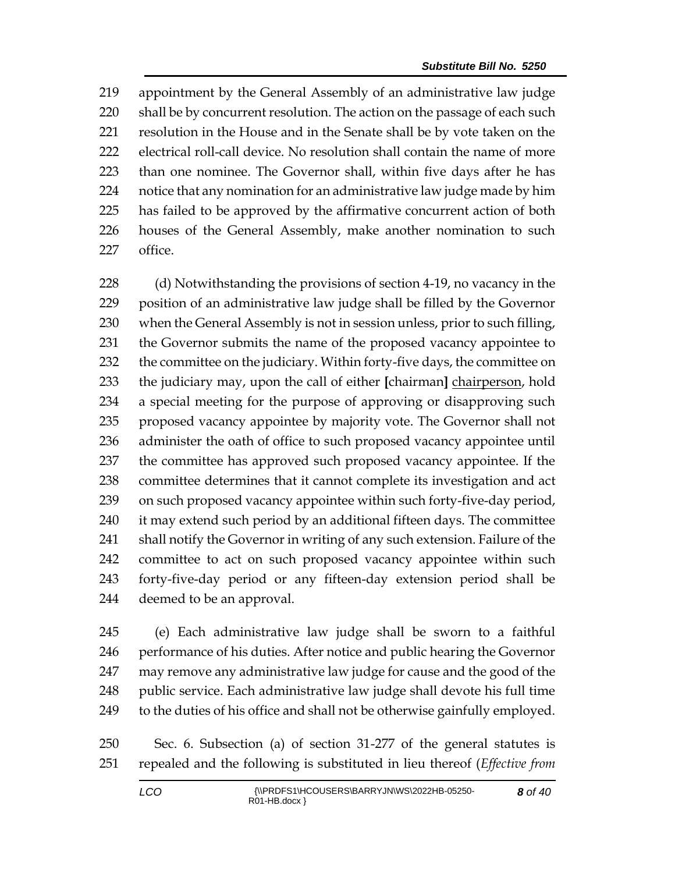appointment by the General Assembly of an administrative law judge 220 shall be by concurrent resolution. The action on the passage of each such resolution in the House and in the Senate shall be by vote taken on the electrical roll-call device. No resolution shall contain the name of more than one nominee. The Governor shall, within five days after he has notice that any nomination for an administrative law judge made by him has failed to be approved by the affirmative concurrent action of both houses of the General Assembly, make another nomination to such office.

228 (d) Notwithstanding the provisions of section 4-19, no vacancy in the position of an administrative law judge shall be filled by the Governor when the General Assembly is not in session unless, prior to such filling, the Governor submits the name of the proposed vacancy appointee to 232 the committee on the judiciary. Within forty-five days, the committee on the judiciary may, upon the call of either **[**chairman**]** chairperson, hold a special meeting for the purpose of approving or disapproving such proposed vacancy appointee by majority vote. The Governor shall not administer the oath of office to such proposed vacancy appointee until the committee has approved such proposed vacancy appointee. If the committee determines that it cannot complete its investigation and act on such proposed vacancy appointee within such forty-five-day period, 240 it may extend such period by an additional fifteen days. The committee shall notify the Governor in writing of any such extension. Failure of the committee to act on such proposed vacancy appointee within such forty-five-day period or any fifteen-day extension period shall be deemed to be an approval.

 (e) Each administrative law judge shall be sworn to a faithful 246 performance of his duties. After notice and public hearing the Governor may remove any administrative law judge for cause and the good of the 248 public service. Each administrative law judge shall devote his full time to the duties of his office and shall not be otherwise gainfully employed.

 Sec. 6. Subsection (a) of section 31-277 of the general statutes is repealed and the following is substituted in lieu thereof (*Effective from*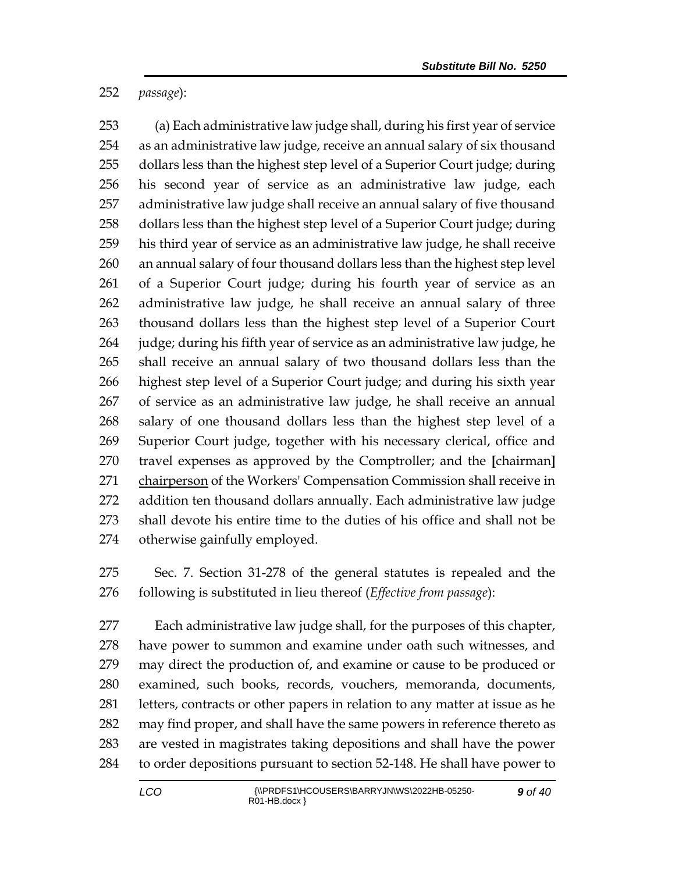*passage*):

 (a) Each administrative law judge shall, during his first year of service as an administrative law judge, receive an annual salary of six thousand dollars less than the highest step level of a Superior Court judge; during his second year of service as an administrative law judge, each administrative law judge shall receive an annual salary of five thousand dollars less than the highest step level of a Superior Court judge; during his third year of service as an administrative law judge, he shall receive an annual salary of four thousand dollars less than the highest step level of a Superior Court judge; during his fourth year of service as an administrative law judge, he shall receive an annual salary of three thousand dollars less than the highest step level of a Superior Court judge; during his fifth year of service as an administrative law judge, he shall receive an annual salary of two thousand dollars less than the highest step level of a Superior Court judge; and during his sixth year of service as an administrative law judge, he shall receive an annual salary of one thousand dollars less than the highest step level of a Superior Court judge, together with his necessary clerical, office and travel expenses as approved by the Comptroller; and the **[**chairman**]** 271 chairperson of the Workers' Compensation Commission shall receive in addition ten thousand dollars annually. Each administrative law judge shall devote his entire time to the duties of his office and shall not be otherwise gainfully employed.

 Sec. 7. Section 31-278 of the general statutes is repealed and the following is substituted in lieu thereof (*Effective from passage*):

 Each administrative law judge shall, for the purposes of this chapter, have power to summon and examine under oath such witnesses, and may direct the production of, and examine or cause to be produced or examined, such books, records, vouchers, memoranda, documents, letters, contracts or other papers in relation to any matter at issue as he may find proper, and shall have the same powers in reference thereto as are vested in magistrates taking depositions and shall have the power to order depositions pursuant to section 52-148. He shall have power to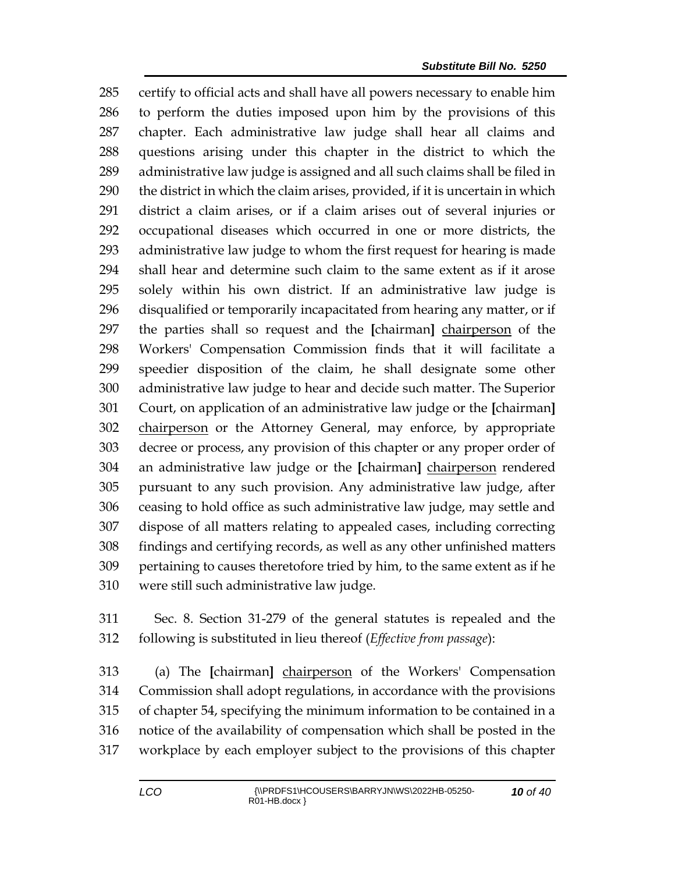certify to official acts and shall have all powers necessary to enable him to perform the duties imposed upon him by the provisions of this chapter. Each administrative law judge shall hear all claims and questions arising under this chapter in the district to which the administrative law judge is assigned and all such claims shall be filed in the district in which the claim arises, provided, if it is uncertain in which district a claim arises, or if a claim arises out of several injuries or occupational diseases which occurred in one or more districts, the administrative law judge to whom the first request for hearing is made shall hear and determine such claim to the same extent as if it arose solely within his own district. If an administrative law judge is disqualified or temporarily incapacitated from hearing any matter, or if the parties shall so request and the **[**chairman**]** chairperson of the Workers' Compensation Commission finds that it will facilitate a speedier disposition of the claim, he shall designate some other administrative law judge to hear and decide such matter. The Superior Court, on application of an administrative law judge or the **[**chairman**]** chairperson or the Attorney General, may enforce, by appropriate decree or process, any provision of this chapter or any proper order of an administrative law judge or the **[**chairman**]** chairperson rendered pursuant to any such provision. Any administrative law judge, after ceasing to hold office as such administrative law judge, may settle and dispose of all matters relating to appealed cases, including correcting findings and certifying records, as well as any other unfinished matters pertaining to causes theretofore tried by him, to the same extent as if he were still such administrative law judge.

 Sec. 8. Section 31-279 of the general statutes is repealed and the following is substituted in lieu thereof (*Effective from passage*):

 (a) The **[**chairman**]** chairperson of the Workers' Compensation Commission shall adopt regulations, in accordance with the provisions of chapter 54, specifying the minimum information to be contained in a notice of the availability of compensation which shall be posted in the workplace by each employer subject to the provisions of this chapter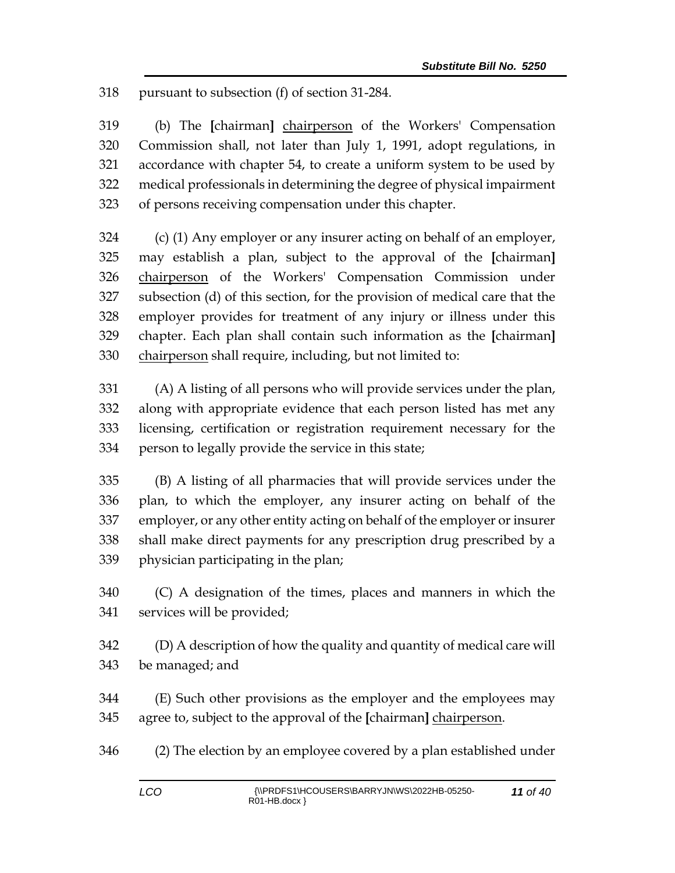pursuant to subsection (f) of section 31-284.

 (b) The **[**chairman**]** chairperson of the Workers' Compensation Commission shall, not later than July 1, 1991, adopt regulations, in accordance with chapter 54, to create a uniform system to be used by medical professionals in determining the degree of physical impairment of persons receiving compensation under this chapter.

 (c) (1) Any employer or any insurer acting on behalf of an employer, may establish a plan, subject to the approval of the **[**chairman**]** 326 chairperson of the Workers' Compensation Commission under subsection (d) of this section, for the provision of medical care that the employer provides for treatment of any injury or illness under this chapter. Each plan shall contain such information as the **[**chairman**]** 330 chairperson shall require, including, but not limited to:

 (A) A listing of all persons who will provide services under the plan, along with appropriate evidence that each person listed has met any licensing, certification or registration requirement necessary for the person to legally provide the service in this state;

 (B) A listing of all pharmacies that will provide services under the plan, to which the employer, any insurer acting on behalf of the employer, or any other entity acting on behalf of the employer or insurer shall make direct payments for any prescription drug prescribed by a physician participating in the plan;

 (C) A designation of the times, places and manners in which the services will be provided;

 (D) A description of how the quality and quantity of medical care will be managed; and

 (E) Such other provisions as the employer and the employees may agree to, subject to the approval of the **[**chairman**]** chairperson.

(2) The election by an employee covered by a plan established under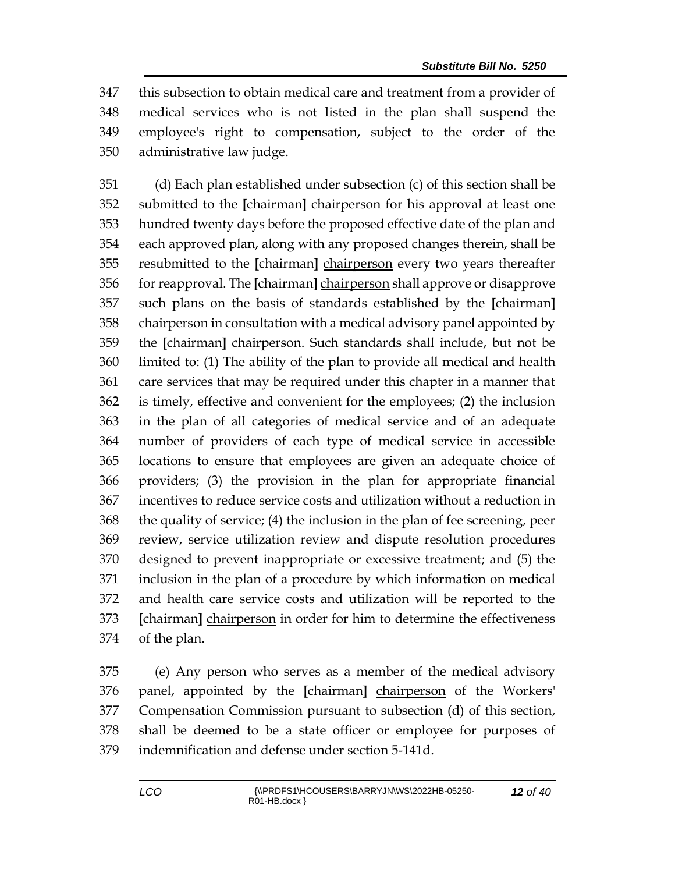this subsection to obtain medical care and treatment from a provider of medical services who is not listed in the plan shall suspend the employee's right to compensation, subject to the order of the administrative law judge.

 (d) Each plan established under subsection (c) of this section shall be submitted to the **[**chairman**]** chairperson for his approval at least one hundred twenty days before the proposed effective date of the plan and each approved plan, along with any proposed changes therein, shall be resubmitted to the **[**chairman**]** chairperson every two years thereafter for reapproval. The **[**chairman**]** chairperson shall approve or disapprove such plans on the basis of standards established by the **[**chairman**]** chairperson in consultation with a medical advisory panel appointed by the **[**chairman**]** chairperson. Such standards shall include, but not be limited to: (1) The ability of the plan to provide all medical and health care services that may be required under this chapter in a manner that is timely, effective and convenient for the employees; (2) the inclusion in the plan of all categories of medical service and of an adequate number of providers of each type of medical service in accessible locations to ensure that employees are given an adequate choice of providers; (3) the provision in the plan for appropriate financial incentives to reduce service costs and utilization without a reduction in the quality of service; (4) the inclusion in the plan of fee screening, peer review, service utilization review and dispute resolution procedures designed to prevent inappropriate or excessive treatment; and (5) the inclusion in the plan of a procedure by which information on medical and health care service costs and utilization will be reported to the **[**chairman**]** chairperson in order for him to determine the effectiveness of the plan.

 (e) Any person who serves as a member of the medical advisory panel, appointed by the **[**chairman**]** chairperson of the Workers' Compensation Commission pursuant to subsection (d) of this section, shall be deemed to be a state officer or employee for purposes of indemnification and defense under section 5-141d.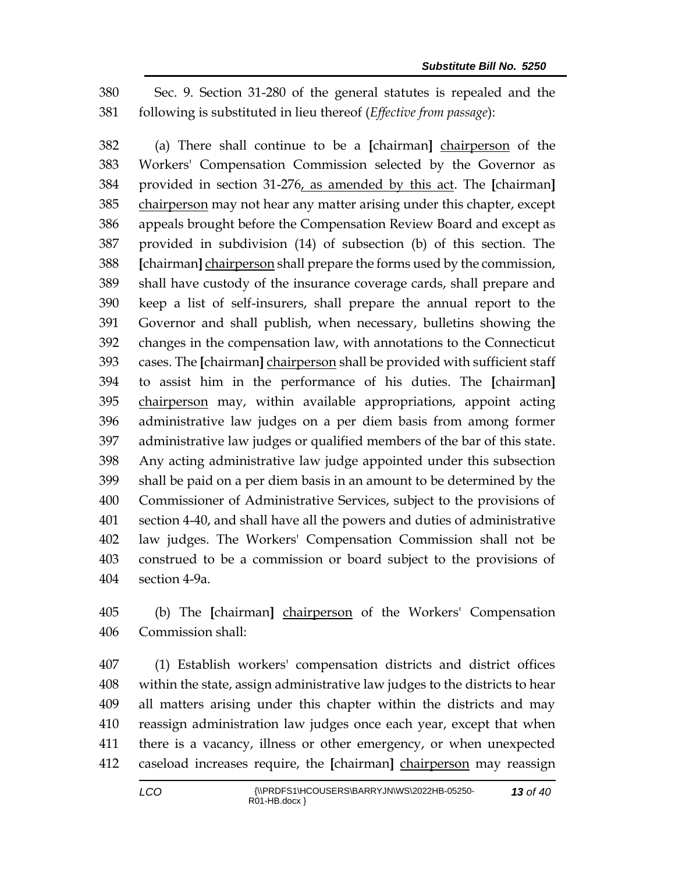Sec. 9. Section 31-280 of the general statutes is repealed and the following is substituted in lieu thereof (*Effective from passage*):

 (a) There shall continue to be a **[**chairman**]** chairperson of the Workers' Compensation Commission selected by the Governor as provided in section 31-276, as amended by this act. The **[**chairman**]** 385 chairperson may not hear any matter arising under this chapter, except appeals brought before the Compensation Review Board and except as provided in subdivision (14) of subsection (b) of this section. The **[**chairman**]** chairperson shall prepare the forms used by the commission, shall have custody of the insurance coverage cards, shall prepare and keep a list of self-insurers, shall prepare the annual report to the Governor and shall publish, when necessary, bulletins showing the changes in the compensation law, with annotations to the Connecticut cases. The **[**chairman**]** chairperson shall be provided with sufficient staff to assist him in the performance of his duties. The **[**chairman**]** chairperson may, within available appropriations, appoint acting administrative law judges on a per diem basis from among former administrative law judges or qualified members of the bar of this state. Any acting administrative law judge appointed under this subsection shall be paid on a per diem basis in an amount to be determined by the Commissioner of Administrative Services, subject to the provisions of section 4-40, and shall have all the powers and duties of administrative law judges. The Workers' Compensation Commission shall not be construed to be a commission or board subject to the provisions of section 4-9a.

 (b) The **[**chairman**]** chairperson of the Workers' Compensation Commission shall:

 (1) Establish workers' compensation districts and district offices within the state, assign administrative law judges to the districts to hear all matters arising under this chapter within the districts and may reassign administration law judges once each year, except that when there is a vacancy, illness or other emergency, or when unexpected caseload increases require, the **[**chairman**]** chairperson may reassign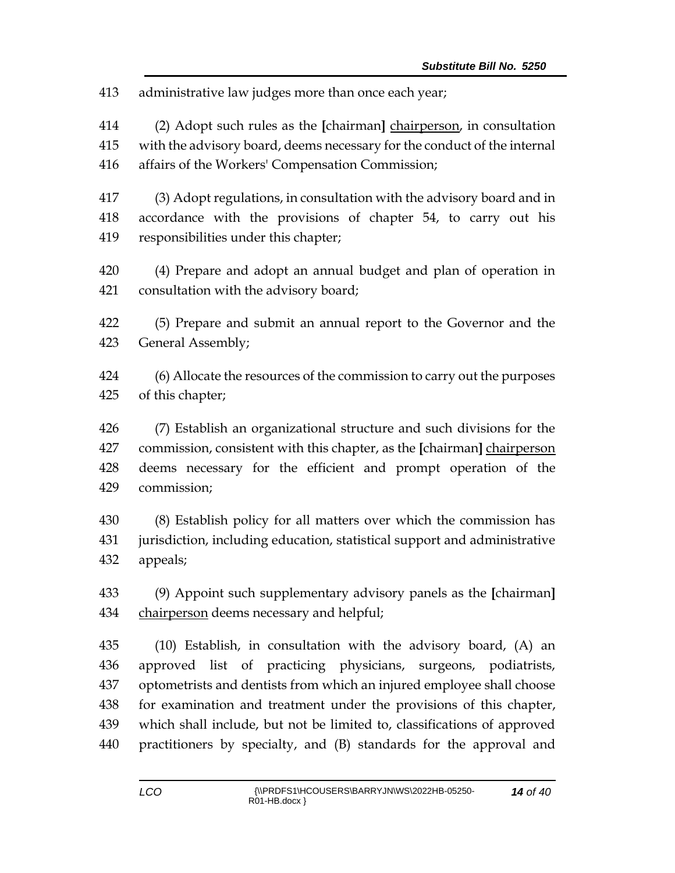administrative law judges more than once each year;

 (2) Adopt such rules as the **[**chairman**]** chairperson, in consultation with the advisory board, deems necessary for the conduct of the internal affairs of the Workers' Compensation Commission;

 (3) Adopt regulations, in consultation with the advisory board and in accordance with the provisions of chapter 54, to carry out his responsibilities under this chapter;

 (4) Prepare and adopt an annual budget and plan of operation in consultation with the advisory board;

 (5) Prepare and submit an annual report to the Governor and the General Assembly;

 (6) Allocate the resources of the commission to carry out the purposes of this chapter;

 (7) Establish an organizational structure and such divisions for the commission, consistent with this chapter, as the **[**chairman**]** chairperson deems necessary for the efficient and prompt operation of the commission;

 (8) Establish policy for all matters over which the commission has jurisdiction, including education, statistical support and administrative appeals;

 (9) Appoint such supplementary advisory panels as the **[**chairman**]** chairperson deems necessary and helpful;

 (10) Establish, in consultation with the advisory board, (A) an approved list of practicing physicians, surgeons, podiatrists, optometrists and dentists from which an injured employee shall choose for examination and treatment under the provisions of this chapter, which shall include, but not be limited to, classifications of approved practitioners by specialty, and (B) standards for the approval and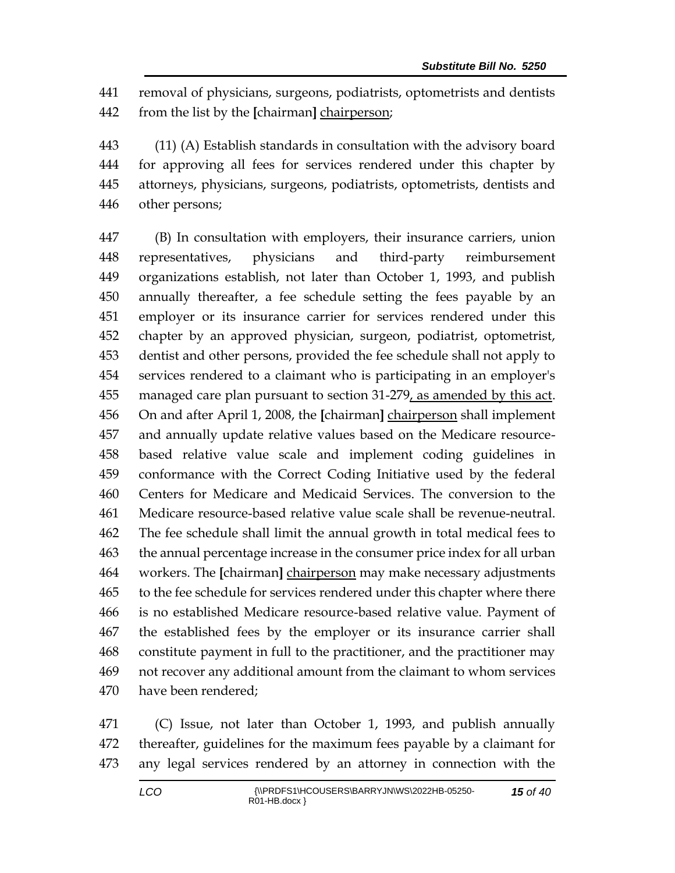removal of physicians, surgeons, podiatrists, optometrists and dentists from the list by the **[**chairman**]** chairperson;

 (11) (A) Establish standards in consultation with the advisory board for approving all fees for services rendered under this chapter by attorneys, physicians, surgeons, podiatrists, optometrists, dentists and other persons;

 (B) In consultation with employers, their insurance carriers, union representatives, physicians and third-party reimbursement organizations establish, not later than October 1, 1993, and publish annually thereafter, a fee schedule setting the fees payable by an employer or its insurance carrier for services rendered under this chapter by an approved physician, surgeon, podiatrist, optometrist, dentist and other persons, provided the fee schedule shall not apply to services rendered to a claimant who is participating in an employer's managed care plan pursuant to section 31-279, as amended by this act. On and after April 1, 2008, the **[**chairman**]** chairperson shall implement and annually update relative values based on the Medicare resource- based relative value scale and implement coding guidelines in conformance with the Correct Coding Initiative used by the federal Centers for Medicare and Medicaid Services. The conversion to the Medicare resource-based relative value scale shall be revenue-neutral. The fee schedule shall limit the annual growth in total medical fees to the annual percentage increase in the consumer price index for all urban workers. The **[**chairman**]** chairperson may make necessary adjustments to the fee schedule for services rendered under this chapter where there is no established Medicare resource-based relative value. Payment of the established fees by the employer or its insurance carrier shall constitute payment in full to the practitioner, and the practitioner may not recover any additional amount from the claimant to whom services have been rendered;

 (C) Issue, not later than October 1, 1993, and publish annually thereafter, guidelines for the maximum fees payable by a claimant for any legal services rendered by an attorney in connection with the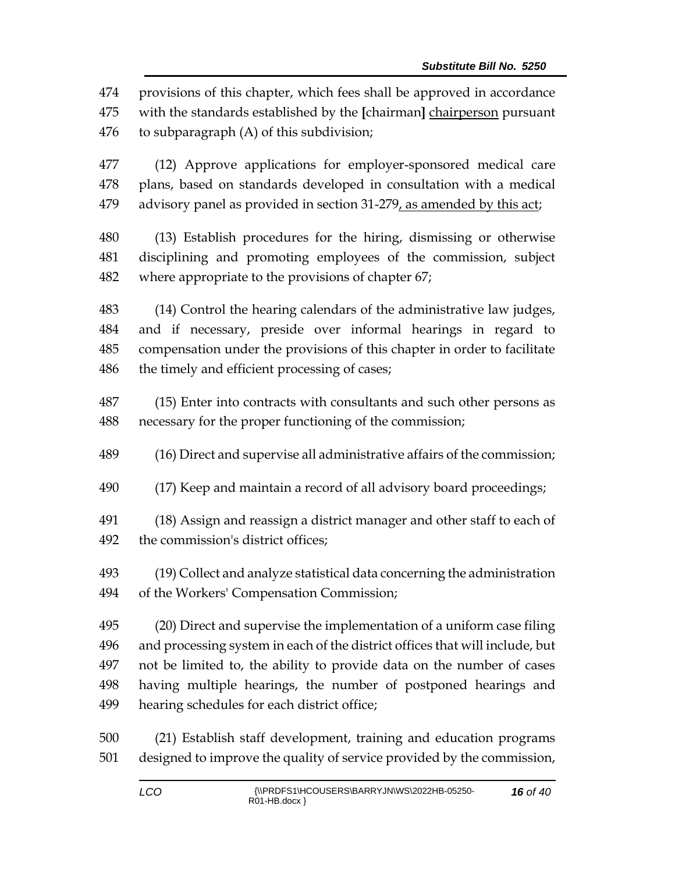provisions of this chapter, which fees shall be approved in accordance with the standards established by the **[**chairman**]** chairperson pursuant to subparagraph (A) of this subdivision;

 (12) Approve applications for employer-sponsored medical care plans, based on standards developed in consultation with a medical 479 advisory panel as provided in section 31-279, as amended by this act;

 (13) Establish procedures for the hiring, dismissing or otherwise disciplining and promoting employees of the commission, subject where appropriate to the provisions of chapter 67;

 (14) Control the hearing calendars of the administrative law judges, and if necessary, preside over informal hearings in regard to compensation under the provisions of this chapter in order to facilitate the timely and efficient processing of cases;

 (15) Enter into contracts with consultants and such other persons as necessary for the proper functioning of the commission;

(16) Direct and supervise all administrative affairs of the commission;

(17) Keep and maintain a record of all advisory board proceedings;

 (18) Assign and reassign a district manager and other staff to each of the commission's district offices;

 (19) Collect and analyze statistical data concerning the administration of the Workers' Compensation Commission;

 (20) Direct and supervise the implementation of a uniform case filing and processing system in each of the district offices that will include, but not be limited to, the ability to provide data on the number of cases having multiple hearings, the number of postponed hearings and hearing schedules for each district office;

 (21) Establish staff development, training and education programs designed to improve the quality of service provided by the commission,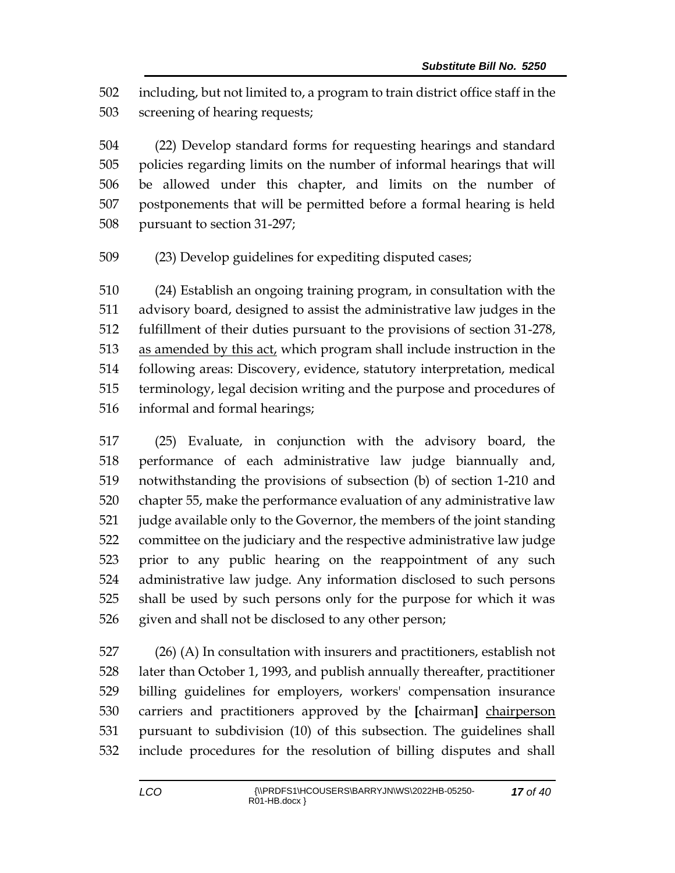including, but not limited to, a program to train district office staff in the screening of hearing requests;

 (22) Develop standard forms for requesting hearings and standard policies regarding limits on the number of informal hearings that will be allowed under this chapter, and limits on the number of postponements that will be permitted before a formal hearing is held pursuant to section 31-297;

(23) Develop guidelines for expediting disputed cases;

 (24) Establish an ongoing training program, in consultation with the advisory board, designed to assist the administrative law judges in the fulfillment of their duties pursuant to the provisions of section 31-278, as amended by this act, which program shall include instruction in the following areas: Discovery, evidence, statutory interpretation, medical terminology, legal decision writing and the purpose and procedures of informal and formal hearings;

 (25) Evaluate, in conjunction with the advisory board, the performance of each administrative law judge biannually and, notwithstanding the provisions of subsection (b) of section 1-210 and chapter 55, make the performance evaluation of any administrative law judge available only to the Governor, the members of the joint standing committee on the judiciary and the respective administrative law judge prior to any public hearing on the reappointment of any such administrative law judge. Any information disclosed to such persons shall be used by such persons only for the purpose for which it was given and shall not be disclosed to any other person;

 (26) (A) In consultation with insurers and practitioners, establish not later than October 1, 1993, and publish annually thereafter, practitioner billing guidelines for employers, workers' compensation insurance carriers and practitioners approved by the **[**chairman**]** chairperson pursuant to subdivision (10) of this subsection. The guidelines shall include procedures for the resolution of billing disputes and shall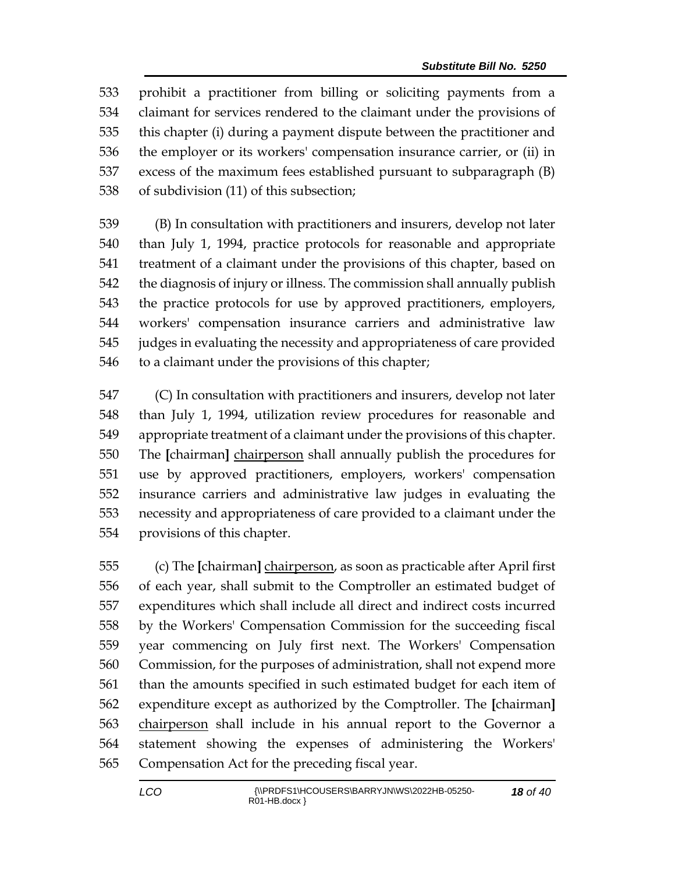prohibit a practitioner from billing or soliciting payments from a claimant for services rendered to the claimant under the provisions of this chapter (i) during a payment dispute between the practitioner and the employer or its workers' compensation insurance carrier, or (ii) in excess of the maximum fees established pursuant to subparagraph (B) of subdivision (11) of this subsection;

 (B) In consultation with practitioners and insurers, develop not later than July 1, 1994, practice protocols for reasonable and appropriate treatment of a claimant under the provisions of this chapter, based on the diagnosis of injury or illness. The commission shall annually publish the practice protocols for use by approved practitioners, employers, workers' compensation insurance carriers and administrative law judges in evaluating the necessity and appropriateness of care provided to a claimant under the provisions of this chapter;

 (C) In consultation with practitioners and insurers, develop not later than July 1, 1994, utilization review procedures for reasonable and appropriate treatment of a claimant under the provisions of this chapter. The **[**chairman**]** chairperson shall annually publish the procedures for use by approved practitioners, employers, workers' compensation insurance carriers and administrative law judges in evaluating the necessity and appropriateness of care provided to a claimant under the provisions of this chapter.

 (c) The **[**chairman**]** chairperson, as soon as practicable after April first of each year, shall submit to the Comptroller an estimated budget of expenditures which shall include all direct and indirect costs incurred by the Workers' Compensation Commission for the succeeding fiscal year commencing on July first next. The Workers' Compensation Commission, for the purposes of administration, shall not expend more than the amounts specified in such estimated budget for each item of expenditure except as authorized by the Comptroller. The **[**chairman**]** chairperson shall include in his annual report to the Governor a statement showing the expenses of administering the Workers' Compensation Act for the preceding fiscal year.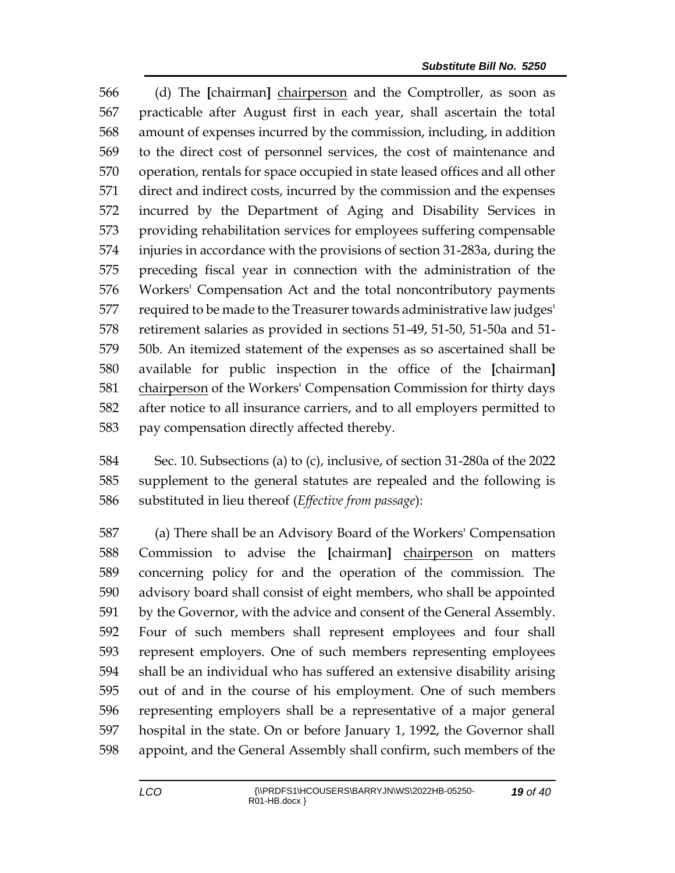(d) The **[**chairman**]** chairperson and the Comptroller, as soon as practicable after August first in each year, shall ascertain the total amount of expenses incurred by the commission, including, in addition to the direct cost of personnel services, the cost of maintenance and operation, rentals for space occupied in state leased offices and all other direct and indirect costs, incurred by the commission and the expenses incurred by the Department of Aging and Disability Services in providing rehabilitation services for employees suffering compensable injuries in accordance with the provisions of section 31-283a, during the preceding fiscal year in connection with the administration of the Workers' Compensation Act and the total noncontributory payments required to be made to the Treasurer towards administrative law judges' retirement salaries as provided in sections 51-49, 51-50, 51-50a and 51- 50b. An itemized statement of the expenses as so ascertained shall be available for public inspection in the office of the **[**chairman**]** chairperson of the Workers' Compensation Commission for thirty days after notice to all insurance carriers, and to all employers permitted to pay compensation directly affected thereby.

 Sec. 10. Subsections (a) to (c), inclusive, of section 31-280a of the 2022 supplement to the general statutes are repealed and the following is substituted in lieu thereof (*Effective from passage*):

 (a) There shall be an Advisory Board of the Workers' Compensation Commission to advise the **[**chairman**]** chairperson on matters concerning policy for and the operation of the commission. The advisory board shall consist of eight members, who shall be appointed by the Governor, with the advice and consent of the General Assembly. Four of such members shall represent employees and four shall represent employers. One of such members representing employees shall be an individual who has suffered an extensive disability arising out of and in the course of his employment. One of such members representing employers shall be a representative of a major general hospital in the state. On or before January 1, 1992, the Governor shall appoint, and the General Assembly shall confirm, such members of the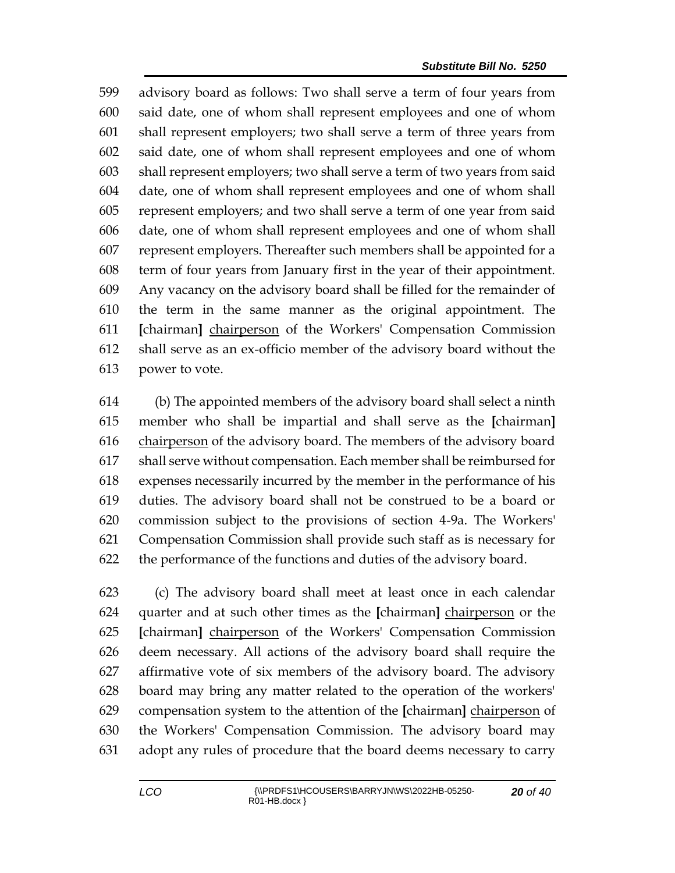advisory board as follows: Two shall serve a term of four years from said date, one of whom shall represent employees and one of whom shall represent employers; two shall serve a term of three years from said date, one of whom shall represent employees and one of whom shall represent employers; two shall serve a term of two years from said date, one of whom shall represent employees and one of whom shall represent employers; and two shall serve a term of one year from said date, one of whom shall represent employees and one of whom shall represent employers. Thereafter such members shall be appointed for a term of four years from January first in the year of their appointment. Any vacancy on the advisory board shall be filled for the remainder of the term in the same manner as the original appointment. The **[**chairman**]** chairperson of the Workers' Compensation Commission shall serve as an ex-officio member of the advisory board without the power to vote.

 (b) The appointed members of the advisory board shall select a ninth member who shall be impartial and shall serve as the **[**chairman**]** 616 chairperson of the advisory board. The members of the advisory board shall serve without compensation. Each member shall be reimbursed for expenses necessarily incurred by the member in the performance of his duties. The advisory board shall not be construed to be a board or commission subject to the provisions of section 4-9a. The Workers' Compensation Commission shall provide such staff as is necessary for the performance of the functions and duties of the advisory board.

 (c) The advisory board shall meet at least once in each calendar quarter and at such other times as the **[**chairman**]** chairperson or the **[**chairman**]** chairperson of the Workers' Compensation Commission deem necessary. All actions of the advisory board shall require the affirmative vote of six members of the advisory board. The advisory board may bring any matter related to the operation of the workers' compensation system to the attention of the **[**chairman**]** chairperson of the Workers' Compensation Commission. The advisory board may adopt any rules of procedure that the board deems necessary to carry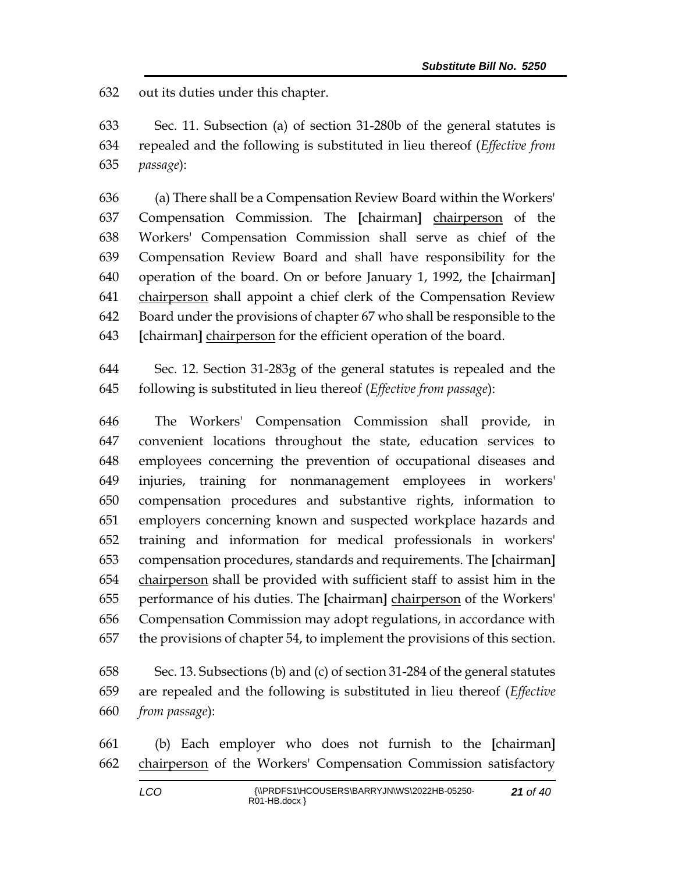out its duties under this chapter.

 Sec. 11. Subsection (a) of section 31-280b of the general statutes is repealed and the following is substituted in lieu thereof (*Effective from passage*):

 (a) There shall be a Compensation Review Board within the Workers' Compensation Commission. The **[**chairman**]** chairperson of the Workers' Compensation Commission shall serve as chief of the Compensation Review Board and shall have responsibility for the operation of the board. On or before January 1, 1992, the **[**chairman**]** chairperson shall appoint a chief clerk of the Compensation Review Board under the provisions of chapter 67 who shall be responsible to the **[**chairman**]** chairperson for the efficient operation of the board.

 Sec. 12. Section 31-283g of the general statutes is repealed and the following is substituted in lieu thereof (*Effective from passage*):

 The Workers' Compensation Commission shall provide, in convenient locations throughout the state, education services to employees concerning the prevention of occupational diseases and injuries, training for nonmanagement employees in workers' compensation procedures and substantive rights, information to employers concerning known and suspected workplace hazards and training and information for medical professionals in workers' compensation procedures, standards and requirements. The **[**chairman**]** 654 chairperson shall be provided with sufficient staff to assist him in the performance of his duties. The **[**chairman**]** chairperson of the Workers' Compensation Commission may adopt regulations, in accordance with the provisions of chapter 54, to implement the provisions of this section.

 Sec. 13. Subsections (b) and (c) of section 31-284 of the general statutes are repealed and the following is substituted in lieu thereof (*Effective from passage*):

 (b) Each employer who does not furnish to the **[**chairman**]** chairperson of the Workers' Compensation Commission satisfactory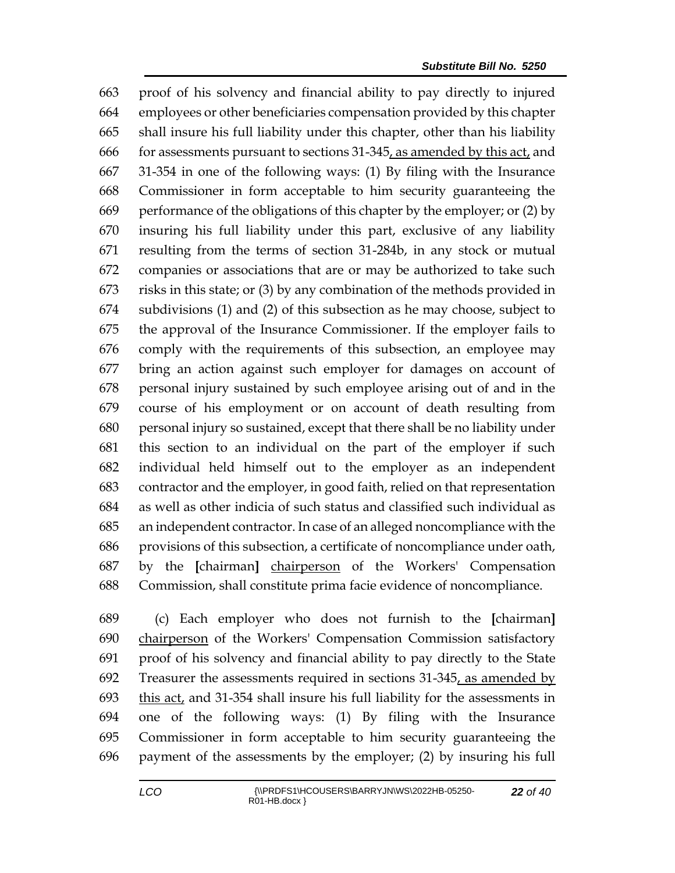proof of his solvency and financial ability to pay directly to injured employees or other beneficiaries compensation provided by this chapter shall insure his full liability under this chapter, other than his liability for assessments pursuant to sections 31-345, as amended by this act, and 31-354 in one of the following ways: (1) By filing with the Insurance Commissioner in form acceptable to him security guaranteeing the performance of the obligations of this chapter by the employer; or (2) by insuring his full liability under this part, exclusive of any liability resulting from the terms of section 31-284b, in any stock or mutual companies or associations that are or may be authorized to take such risks in this state; or (3) by any combination of the methods provided in subdivisions (1) and (2) of this subsection as he may choose, subject to the approval of the Insurance Commissioner. If the employer fails to comply with the requirements of this subsection, an employee may bring an action against such employer for damages on account of personal injury sustained by such employee arising out of and in the course of his employment or on account of death resulting from personal injury so sustained, except that there shall be no liability under this section to an individual on the part of the employer if such individual held himself out to the employer as an independent contractor and the employer, in good faith, relied on that representation as well as other indicia of such status and classified such individual as an independent contractor. In case of an alleged noncompliance with the provisions of this subsection, a certificate of noncompliance under oath, by the **[**chairman**]** chairperson of the Workers' Compensation Commission, shall constitute prima facie evidence of noncompliance.

 (c) Each employer who does not furnish to the **[**chairman**]** chairperson of the Workers' Compensation Commission satisfactory proof of his solvency and financial ability to pay directly to the State 692 Treasurer the assessments required in sections  $31-345$ , as amended by this act, and 31-354 shall insure his full liability for the assessments in one of the following ways: (1) By filing with the Insurance Commissioner in form acceptable to him security guaranteeing the payment of the assessments by the employer; (2) by insuring his full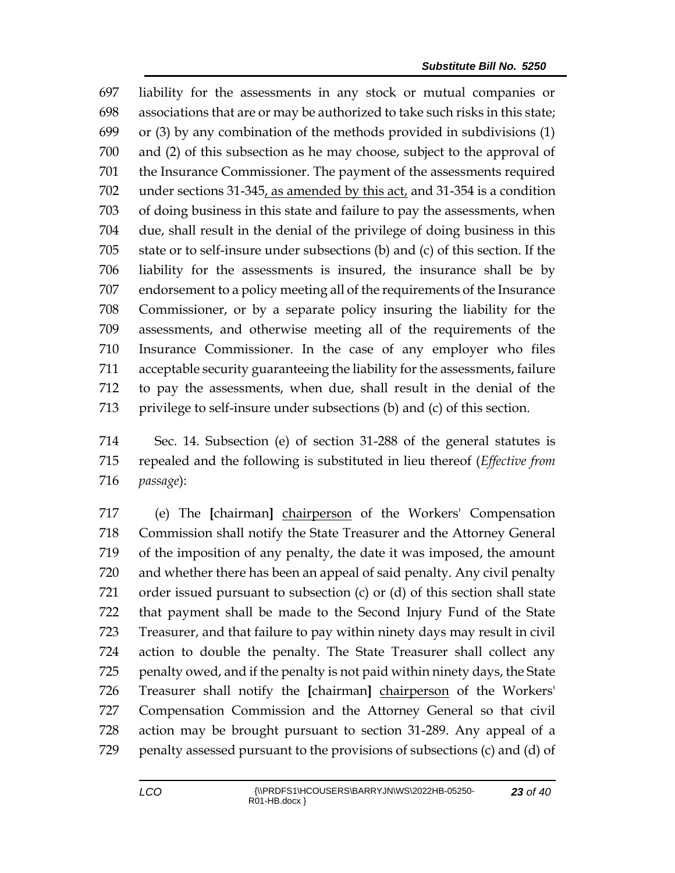liability for the assessments in any stock or mutual companies or associations that are or may be authorized to take such risks in this state; or (3) by any combination of the methods provided in subdivisions (1) and (2) of this subsection as he may choose, subject to the approval of the Insurance Commissioner. The payment of the assessments required under sections 31-345, as amended by this act, and 31-354 is a condition of doing business in this state and failure to pay the assessments, when due, shall result in the denial of the privilege of doing business in this state or to self-insure under subsections (b) and (c) of this section. If the liability for the assessments is insured, the insurance shall be by endorsement to a policy meeting all of the requirements of the Insurance Commissioner, or by a separate policy insuring the liability for the assessments, and otherwise meeting all of the requirements of the Insurance Commissioner. In the case of any employer who files acceptable security guaranteeing the liability for the assessments, failure to pay the assessments, when due, shall result in the denial of the privilege to self-insure under subsections (b) and (c) of this section.

 Sec. 14. Subsection (e) of section 31-288 of the general statutes is repealed and the following is substituted in lieu thereof (*Effective from passage*):

 (e) The **[**chairman**]** chairperson of the Workers' Compensation Commission shall notify the State Treasurer and the Attorney General of the imposition of any penalty, the date it was imposed, the amount and whether there has been an appeal of said penalty. Any civil penalty order issued pursuant to subsection (c) or (d) of this section shall state that payment shall be made to the Second Injury Fund of the State Treasurer, and that failure to pay within ninety days may result in civil action to double the penalty. The State Treasurer shall collect any penalty owed, and if the penalty is not paid within ninety days, the State Treasurer shall notify the **[**chairman**]** chairperson of the Workers' Compensation Commission and the Attorney General so that civil action may be brought pursuant to section 31-289. Any appeal of a penalty assessed pursuant to the provisions of subsections (c) and (d) of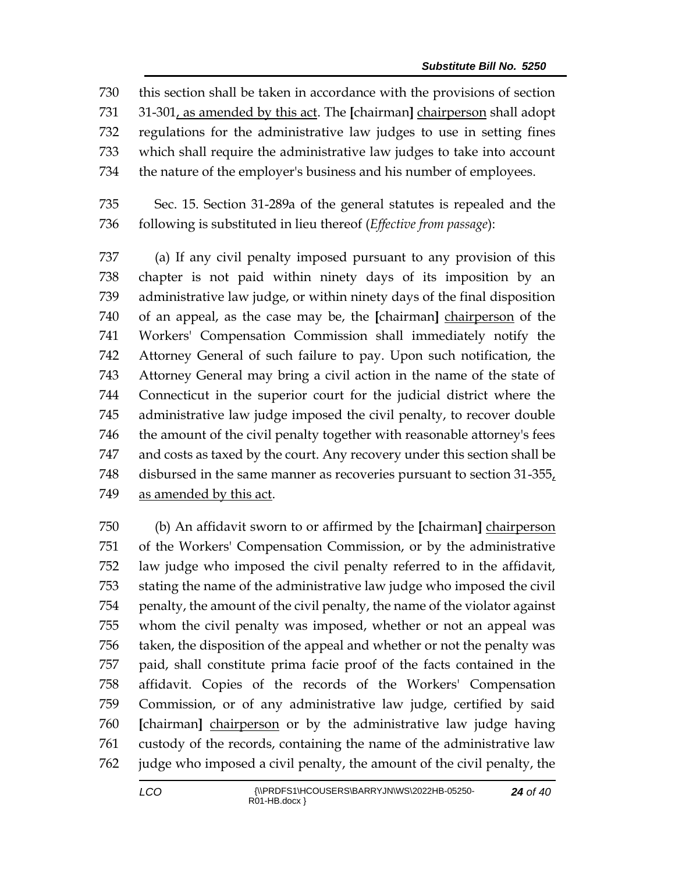this section shall be taken in accordance with the provisions of section 31-301, as amended by this act. The **[**chairman**]** chairperson shall adopt regulations for the administrative law judges to use in setting fines which shall require the administrative law judges to take into account the nature of the employer's business and his number of employees.

 Sec. 15. Section 31-289a of the general statutes is repealed and the following is substituted in lieu thereof (*Effective from passage*):

 (a) If any civil penalty imposed pursuant to any provision of this chapter is not paid within ninety days of its imposition by an administrative law judge, or within ninety days of the final disposition of an appeal, as the case may be, the **[**chairman**]** chairperson of the Workers' Compensation Commission shall immediately notify the Attorney General of such failure to pay. Upon such notification, the Attorney General may bring a civil action in the name of the state of Connecticut in the superior court for the judicial district where the administrative law judge imposed the civil penalty, to recover double 746 the amount of the civil penalty together with reasonable attorney's fees and costs as taxed by the court. Any recovery under this section shall be disbursed in the same manner as recoveries pursuant to section 31-355, as amended by this act.

 (b) An affidavit sworn to or affirmed by the **[**chairman**]** chairperson of the Workers' Compensation Commission, or by the administrative law judge who imposed the civil penalty referred to in the affidavit, stating the name of the administrative law judge who imposed the civil penalty, the amount of the civil penalty, the name of the violator against whom the civil penalty was imposed, whether or not an appeal was taken, the disposition of the appeal and whether or not the penalty was paid, shall constitute prima facie proof of the facts contained in the affidavit. Copies of the records of the Workers' Compensation Commission, or of any administrative law judge, certified by said **[**chairman**]** chairperson or by the administrative law judge having custody of the records, containing the name of the administrative law judge who imposed a civil penalty, the amount of the civil penalty, the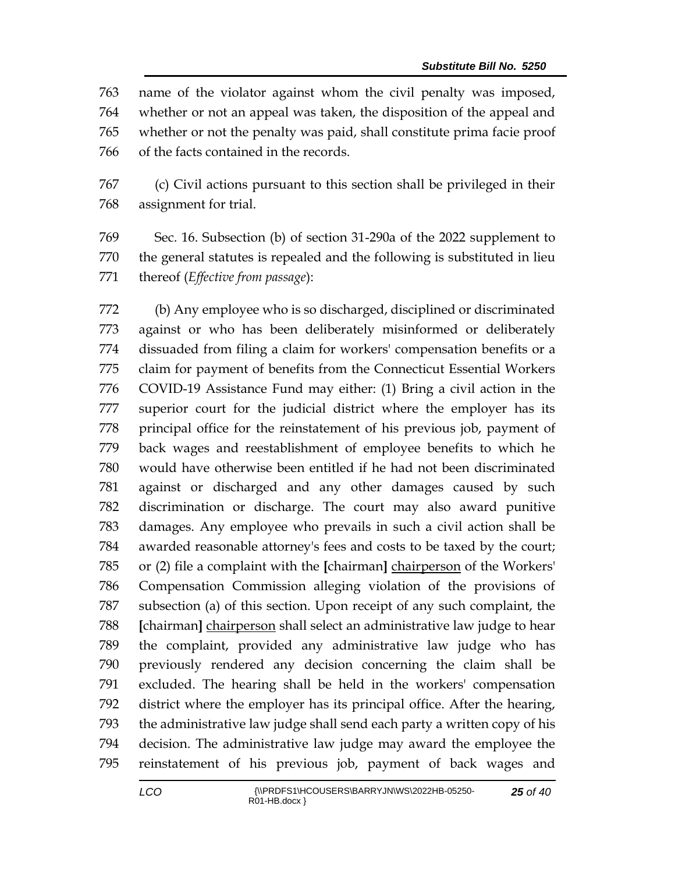name of the violator against whom the civil penalty was imposed, whether or not an appeal was taken, the disposition of the appeal and whether or not the penalty was paid, shall constitute prima facie proof of the facts contained in the records.

 (c) Civil actions pursuant to this section shall be privileged in their assignment for trial.

 Sec. 16. Subsection (b) of section 31-290a of the 2022 supplement to the general statutes is repealed and the following is substituted in lieu thereof (*Effective from passage*):

 (b) Any employee who is so discharged, disciplined or discriminated against or who has been deliberately misinformed or deliberately dissuaded from filing a claim for workers' compensation benefits or a claim for payment of benefits from the Connecticut Essential Workers COVID-19 Assistance Fund may either: (1) Bring a civil action in the superior court for the judicial district where the employer has its principal office for the reinstatement of his previous job, payment of back wages and reestablishment of employee benefits to which he would have otherwise been entitled if he had not been discriminated against or discharged and any other damages caused by such discrimination or discharge. The court may also award punitive damages. Any employee who prevails in such a civil action shall be awarded reasonable attorney's fees and costs to be taxed by the court; or (2) file a complaint with the **[**chairman**]** chairperson of the Workers' Compensation Commission alleging violation of the provisions of subsection (a) of this section. Upon receipt of any such complaint, the **[**chairman**]** chairperson shall select an administrative law judge to hear the complaint, provided any administrative law judge who has previously rendered any decision concerning the claim shall be excluded. The hearing shall be held in the workers' compensation district where the employer has its principal office. After the hearing, the administrative law judge shall send each party a written copy of his decision. The administrative law judge may award the employee the reinstatement of his previous job, payment of back wages and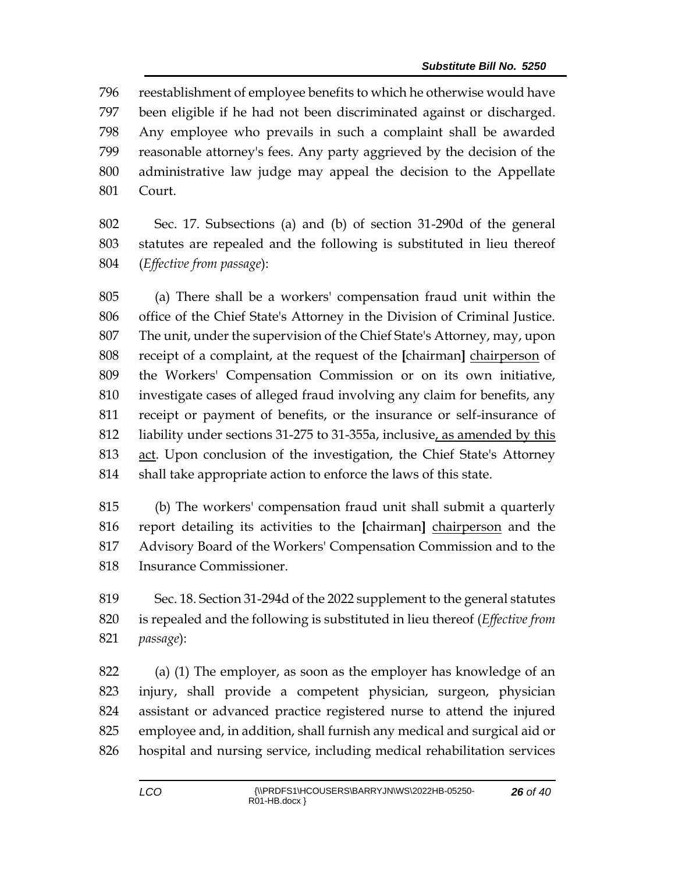reestablishment of employee benefits to which he otherwise would have been eligible if he had not been discriminated against or discharged. Any employee who prevails in such a complaint shall be awarded reasonable attorney's fees. Any party aggrieved by the decision of the administrative law judge may appeal the decision to the Appellate Court.

 Sec. 17. Subsections (a) and (b) of section 31-290d of the general statutes are repealed and the following is substituted in lieu thereof (*Effective from passage*):

 (a) There shall be a workers' compensation fraud unit within the office of the Chief State's Attorney in the Division of Criminal Justice. The unit, under the supervision of the Chief State's Attorney, may, upon receipt of a complaint, at the request of the **[**chairman**]** chairperson of the Workers' Compensation Commission or on its own initiative, investigate cases of alleged fraud involving any claim for benefits, any receipt or payment of benefits, or the insurance or self-insurance of liability under sections 31-275 to 31-355a, inclusive, as amended by this act. Upon conclusion of the investigation, the Chief State's Attorney shall take appropriate action to enforce the laws of this state.

 (b) The workers' compensation fraud unit shall submit a quarterly report detailing its activities to the **[**chairman**]** chairperson and the Advisory Board of the Workers' Compensation Commission and to the Insurance Commissioner.

 Sec. 18. Section 31-294d of the 2022 supplement to the general statutes is repealed and the following is substituted in lieu thereof (*Effective from passage*):

 (a) (1) The employer, as soon as the employer has knowledge of an injury, shall provide a competent physician, surgeon, physician assistant or advanced practice registered nurse to attend the injured employee and, in addition, shall furnish any medical and surgical aid or hospital and nursing service, including medical rehabilitation services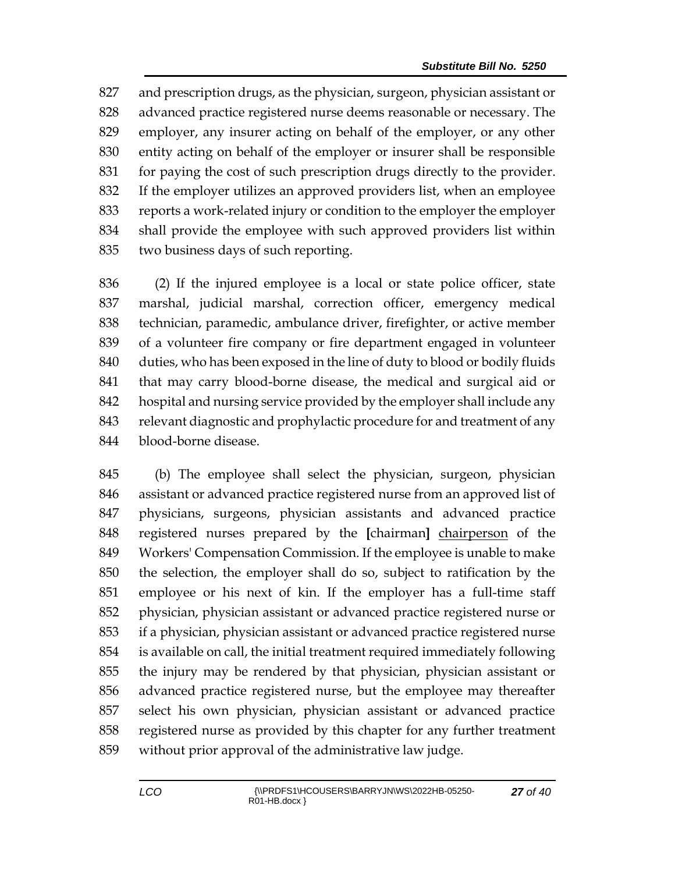and prescription drugs, as the physician, surgeon, physician assistant or advanced practice registered nurse deems reasonable or necessary. The employer, any insurer acting on behalf of the employer, or any other entity acting on behalf of the employer or insurer shall be responsible for paying the cost of such prescription drugs directly to the provider. If the employer utilizes an approved providers list, when an employee reports a work-related injury or condition to the employer the employer shall provide the employee with such approved providers list within two business days of such reporting.

 (2) If the injured employee is a local or state police officer, state marshal, judicial marshal, correction officer, emergency medical technician, paramedic, ambulance driver, firefighter, or active member of a volunteer fire company or fire department engaged in volunteer 840 duties, who has been exposed in the line of duty to blood or bodily fluids that may carry blood-borne disease, the medical and surgical aid or hospital and nursing service provided by the employer shall include any relevant diagnostic and prophylactic procedure for and treatment of any blood-borne disease.

 (b) The employee shall select the physician, surgeon, physician assistant or advanced practice registered nurse from an approved list of physicians, surgeons, physician assistants and advanced practice registered nurses prepared by the **[**chairman**]** chairperson of the Workers' Compensation Commission. If the employee is unable to make the selection, the employer shall do so, subject to ratification by the employee or his next of kin. If the employer has a full-time staff physician, physician assistant or advanced practice registered nurse or if a physician, physician assistant or advanced practice registered nurse is available on call, the initial treatment required immediately following the injury may be rendered by that physician, physician assistant or advanced practice registered nurse, but the employee may thereafter select his own physician, physician assistant or advanced practice registered nurse as provided by this chapter for any further treatment without prior approval of the administrative law judge.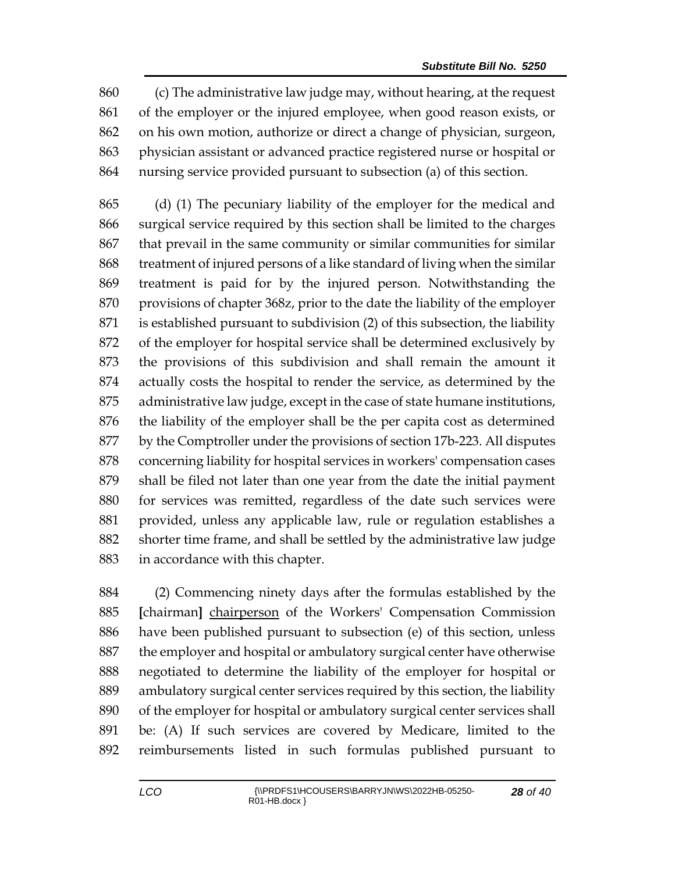(c) The administrative law judge may, without hearing, at the request of the employer or the injured employee, when good reason exists, or on his own motion, authorize or direct a change of physician, surgeon, physician assistant or advanced practice registered nurse or hospital or nursing service provided pursuant to subsection (a) of this section.

 (d) (1) The pecuniary liability of the employer for the medical and surgical service required by this section shall be limited to the charges that prevail in the same community or similar communities for similar treatment of injured persons of a like standard of living when the similar treatment is paid for by the injured person. Notwithstanding the provisions of chapter 368z, prior to the date the liability of the employer is established pursuant to subdivision (2) of this subsection, the liability of the employer for hospital service shall be determined exclusively by the provisions of this subdivision and shall remain the amount it actually costs the hospital to render the service, as determined by the administrative law judge, except in the case of state humane institutions, the liability of the employer shall be the per capita cost as determined by the Comptroller under the provisions of section 17b-223. All disputes concerning liability for hospital services in workers' compensation cases shall be filed not later than one year from the date the initial payment for services was remitted, regardless of the date such services were provided, unless any applicable law, rule or regulation establishes a shorter time frame, and shall be settled by the administrative law judge in accordance with this chapter.

 (2) Commencing ninety days after the formulas established by the **[**chairman**]** chairperson of the Workers' Compensation Commission have been published pursuant to subsection (e) of this section, unless 887 the employer and hospital or ambulatory surgical center have otherwise negotiated to determine the liability of the employer for hospital or ambulatory surgical center services required by this section, the liability of the employer for hospital or ambulatory surgical center services shall be: (A) If such services are covered by Medicare, limited to the reimbursements listed in such formulas published pursuant to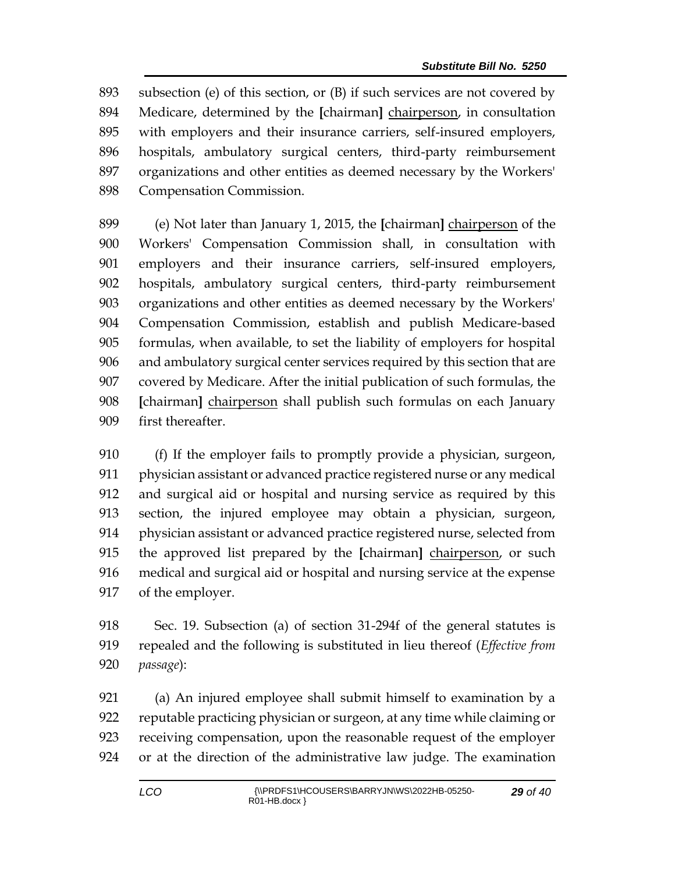subsection (e) of this section, or (B) if such services are not covered by Medicare, determined by the **[**chairman**]** chairperson, in consultation with employers and their insurance carriers, self-insured employers, hospitals, ambulatory surgical centers, third-party reimbursement organizations and other entities as deemed necessary by the Workers' Compensation Commission.

 (e) Not later than January 1, 2015, the **[**chairman**]** chairperson of the Workers' Compensation Commission shall, in consultation with employers and their insurance carriers, self-insured employers, hospitals, ambulatory surgical centers, third-party reimbursement organizations and other entities as deemed necessary by the Workers' Compensation Commission, establish and publish Medicare-based formulas, when available, to set the liability of employers for hospital and ambulatory surgical center services required by this section that are covered by Medicare. After the initial publication of such formulas, the **[**chairman**]** chairperson shall publish such formulas on each January first thereafter.

 (f) If the employer fails to promptly provide a physician, surgeon, physician assistant or advanced practice registered nurse or any medical and surgical aid or hospital and nursing service as required by this section, the injured employee may obtain a physician, surgeon, physician assistant or advanced practice registered nurse, selected from the approved list prepared by the **[**chairman**]** chairperson, or such medical and surgical aid or hospital and nursing service at the expense of the employer.

 Sec. 19. Subsection (a) of section 31-294f of the general statutes is repealed and the following is substituted in lieu thereof (*Effective from passage*):

 (a) An injured employee shall submit himself to examination by a reputable practicing physician or surgeon, at any time while claiming or receiving compensation, upon the reasonable request of the employer or at the direction of the administrative law judge. The examination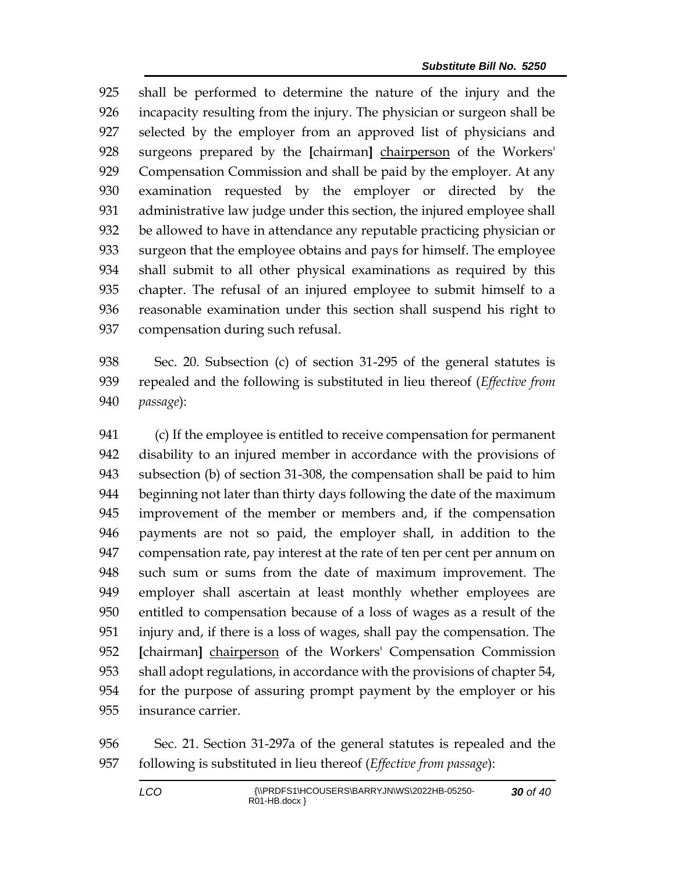shall be performed to determine the nature of the injury and the incapacity resulting from the injury. The physician or surgeon shall be selected by the employer from an approved list of physicians and surgeons prepared by the **[**chairman**]** chairperson of the Workers' Compensation Commission and shall be paid by the employer. At any examination requested by the employer or directed by the administrative law judge under this section, the injured employee shall be allowed to have in attendance any reputable practicing physician or surgeon that the employee obtains and pays for himself. The employee shall submit to all other physical examinations as required by this chapter. The refusal of an injured employee to submit himself to a reasonable examination under this section shall suspend his right to compensation during such refusal.

 Sec. 20. Subsection (c) of section 31-295 of the general statutes is repealed and the following is substituted in lieu thereof (*Effective from passage*):

 (c) If the employee is entitled to receive compensation for permanent disability to an injured member in accordance with the provisions of subsection (b) of section 31-308, the compensation shall be paid to him beginning not later than thirty days following the date of the maximum improvement of the member or members and, if the compensation payments are not so paid, the employer shall, in addition to the compensation rate, pay interest at the rate of ten per cent per annum on such sum or sums from the date of maximum improvement. The employer shall ascertain at least monthly whether employees are entitled to compensation because of a loss of wages as a result of the injury and, if there is a loss of wages, shall pay the compensation. The **[**chairman**]** chairperson of the Workers' Compensation Commission shall adopt regulations, in accordance with the provisions of chapter 54, for the purpose of assuring prompt payment by the employer or his insurance carrier.

 Sec. 21. Section 31-297a of the general statutes is repealed and the following is substituted in lieu thereof (*Effective from passage*):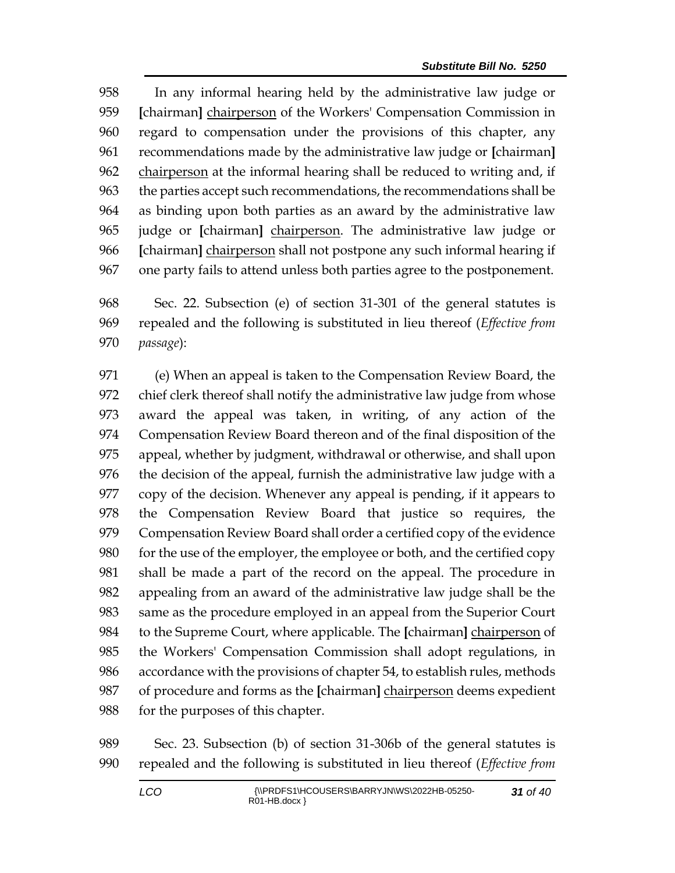In any informal hearing held by the administrative law judge or **[**chairman**]** chairperson of the Workers' Compensation Commission in regard to compensation under the provisions of this chapter, any recommendations made by the administrative law judge or **[**chairman**]** 962 chairperson at the informal hearing shall be reduced to writing and, if the parties accept such recommendations, the recommendations shall be as binding upon both parties as an award by the administrative law judge or **[**chairman**]** chairperson. The administrative law judge or **[**chairman**]** chairperson shall not postpone any such informal hearing if one party fails to attend unless both parties agree to the postponement.

 Sec. 22. Subsection (e) of section 31-301 of the general statutes is repealed and the following is substituted in lieu thereof (*Effective from passage*):

 (e) When an appeal is taken to the Compensation Review Board, the chief clerk thereof shall notify the administrative law judge from whose award the appeal was taken, in writing, of any action of the Compensation Review Board thereon and of the final disposition of the appeal, whether by judgment, withdrawal or otherwise, and shall upon the decision of the appeal, furnish the administrative law judge with a copy of the decision. Whenever any appeal is pending, if it appears to the Compensation Review Board that justice so requires, the Compensation Review Board shall order a certified copy of the evidence for the use of the employer, the employee or both, and the certified copy shall be made a part of the record on the appeal. The procedure in appealing from an award of the administrative law judge shall be the same as the procedure employed in an appeal from the Superior Court to the Supreme Court, where applicable. The **[**chairman**]** chairperson of the Workers' Compensation Commission shall adopt regulations, in accordance with the provisions of chapter 54, to establish rules, methods of procedure and forms as the **[**chairman**]** chairperson deems expedient for the purposes of this chapter.

 Sec. 23. Subsection (b) of section 31-306b of the general statutes is repealed and the following is substituted in lieu thereof (*Effective from*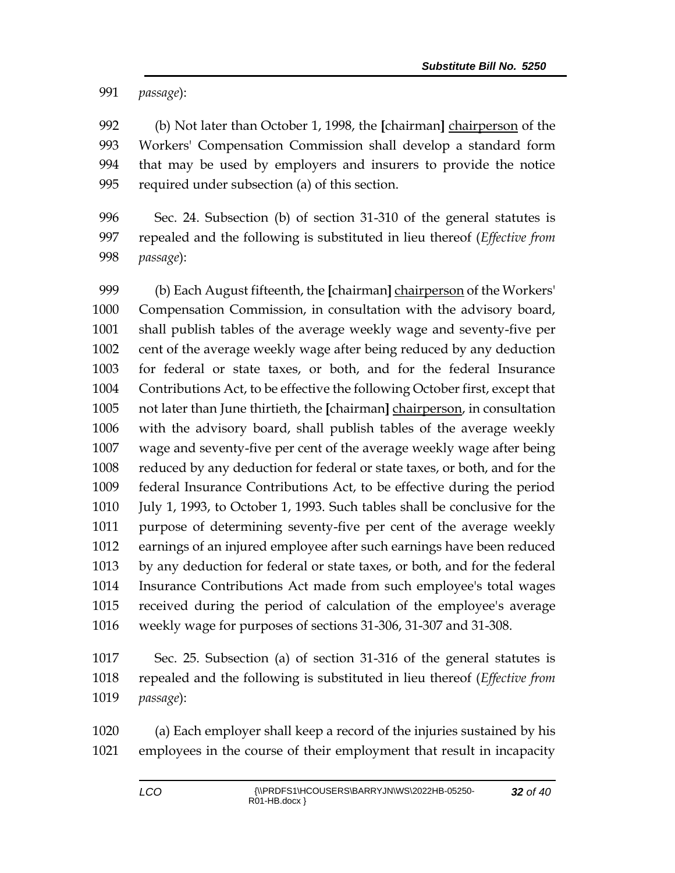*passage*):

 (b) Not later than October 1, 1998, the **[**chairman**]** chairperson of the Workers' Compensation Commission shall develop a standard form that may be used by employers and insurers to provide the notice required under subsection (a) of this section.

 Sec. 24. Subsection (b) of section 31-310 of the general statutes is repealed and the following is substituted in lieu thereof (*Effective from passage*):

 (b) Each August fifteenth, the **[**chairman**]** chairperson of the Workers' Compensation Commission, in consultation with the advisory board, shall publish tables of the average weekly wage and seventy-five per cent of the average weekly wage after being reduced by any deduction for federal or state taxes, or both, and for the federal Insurance Contributions Act, to be effective the following October first, except that not later than June thirtieth, the **[**chairman**]** chairperson, in consultation with the advisory board, shall publish tables of the average weekly wage and seventy-five per cent of the average weekly wage after being reduced by any deduction for federal or state taxes, or both, and for the federal Insurance Contributions Act, to be effective during the period July 1, 1993, to October 1, 1993. Such tables shall be conclusive for the purpose of determining seventy-five per cent of the average weekly earnings of an injured employee after such earnings have been reduced by any deduction for federal or state taxes, or both, and for the federal Insurance Contributions Act made from such employee's total wages received during the period of calculation of the employee's average weekly wage for purposes of sections 31-306, 31-307 and 31-308.

 Sec. 25. Subsection (a) of section 31-316 of the general statutes is repealed and the following is substituted in lieu thereof (*Effective from passage*):

 (a) Each employer shall keep a record of the injuries sustained by his employees in the course of their employment that result in incapacity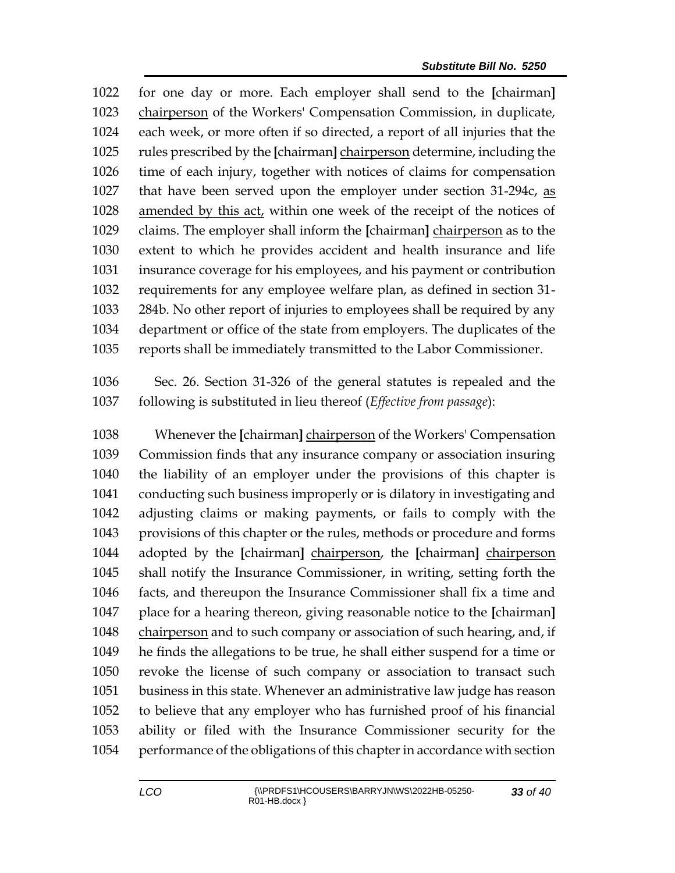for one day or more. Each employer shall send to the **[**chairman**]** chairperson of the Workers' Compensation Commission, in duplicate, each week, or more often if so directed, a report of all injuries that the rules prescribed by the **[**chairman**]** chairperson determine, including the time of each injury, together with notices of claims for compensation that have been served upon the employer under section 31-294c, as 1028 amended by this act, within one week of the receipt of the notices of claims. The employer shall inform the **[**chairman**]** chairperson as to the extent to which he provides accident and health insurance and life insurance coverage for his employees, and his payment or contribution requirements for any employee welfare plan, as defined in section 31- 284b. No other report of injuries to employees shall be required by any department or office of the state from employers. The duplicates of the reports shall be immediately transmitted to the Labor Commissioner.

 Sec. 26. Section 31-326 of the general statutes is repealed and the following is substituted in lieu thereof (*Effective from passage*):

 Whenever the **[**chairman**]** chairperson of the Workers' Compensation Commission finds that any insurance company or association insuring the liability of an employer under the provisions of this chapter is conducting such business improperly or is dilatory in investigating and adjusting claims or making payments, or fails to comply with the provisions of this chapter or the rules, methods or procedure and forms adopted by the **[**chairman**]** chairperson, the **[**chairman**]** chairperson shall notify the Insurance Commissioner, in writing, setting forth the facts, and thereupon the Insurance Commissioner shall fix a time and place for a hearing thereon, giving reasonable notice to the **[**chairman**]** chairperson and to such company or association of such hearing, and, if he finds the allegations to be true, he shall either suspend for a time or revoke the license of such company or association to transact such business in this state. Whenever an administrative law judge has reason to believe that any employer who has furnished proof of his financial ability or filed with the Insurance Commissioner security for the performance of the obligations of this chapter in accordance with section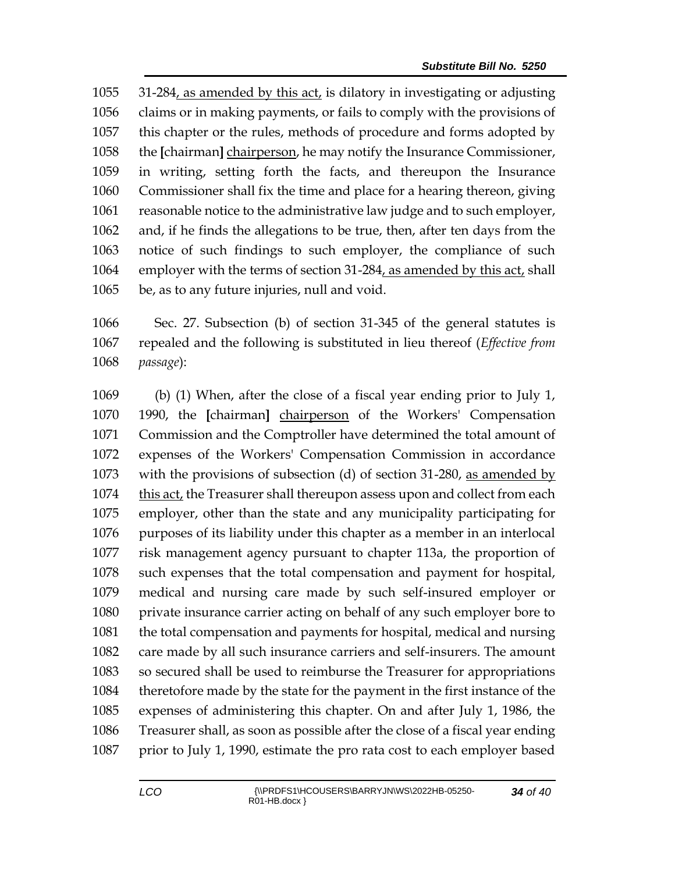31-284, as amended by this act, is dilatory in investigating or adjusting claims or in making payments, or fails to comply with the provisions of this chapter or the rules, methods of procedure and forms adopted by the **[**chairman**]** chairperson, he may notify the Insurance Commissioner, in writing, setting forth the facts, and thereupon the Insurance Commissioner shall fix the time and place for a hearing thereon, giving reasonable notice to the administrative law judge and to such employer, and, if he finds the allegations to be true, then, after ten days from the notice of such findings to such employer, the compliance of such employer with the terms of section 31-284, as amended by this act, shall be, as to any future injuries, null and void.

 Sec. 27. Subsection (b) of section 31-345 of the general statutes is repealed and the following is substituted in lieu thereof (*Effective from passage*):

 (b) (1) When, after the close of a fiscal year ending prior to July 1, 1990, the **[**chairman**]** chairperson of the Workers' Compensation Commission and the Comptroller have determined the total amount of expenses of the Workers' Compensation Commission in accordance with the provisions of subsection (d) of section 31-280, as amended by this act, the Treasurer shall thereupon assess upon and collect from each employer, other than the state and any municipality participating for purposes of its liability under this chapter as a member in an interlocal risk management agency pursuant to chapter 113a, the proportion of such expenses that the total compensation and payment for hospital, medical and nursing care made by such self-insured employer or private insurance carrier acting on behalf of any such employer bore to the total compensation and payments for hospital, medical and nursing care made by all such insurance carriers and self-insurers. The amount so secured shall be used to reimburse the Treasurer for appropriations theretofore made by the state for the payment in the first instance of the expenses of administering this chapter. On and after July 1, 1986, the Treasurer shall, as soon as possible after the close of a fiscal year ending prior to July 1, 1990, estimate the pro rata cost to each employer based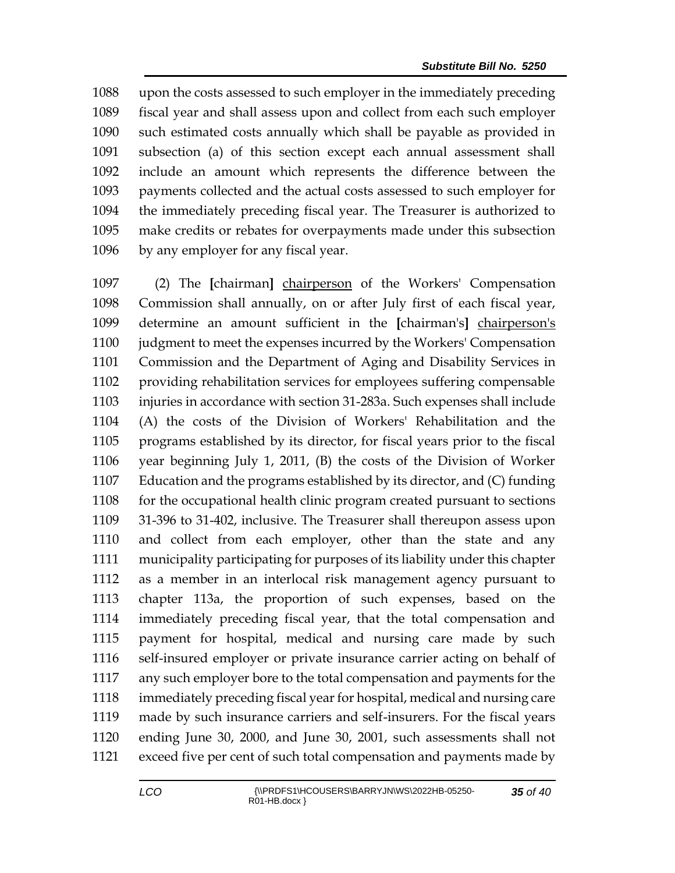upon the costs assessed to such employer in the immediately preceding fiscal year and shall assess upon and collect from each such employer such estimated costs annually which shall be payable as provided in subsection (a) of this section except each annual assessment shall include an amount which represents the difference between the payments collected and the actual costs assessed to such employer for the immediately preceding fiscal year. The Treasurer is authorized to make credits or rebates for overpayments made under this subsection by any employer for any fiscal year.

 (2) The **[**chairman**]** chairperson of the Workers' Compensation Commission shall annually, on or after July first of each fiscal year, determine an amount sufficient in the **[**chairman's**]** chairperson's judgment to meet the expenses incurred by the Workers' Compensation Commission and the Department of Aging and Disability Services in providing rehabilitation services for employees suffering compensable injuries in accordance with section 31-283a. Such expenses shall include (A) the costs of the Division of Workers' Rehabilitation and the programs established by its director, for fiscal years prior to the fiscal year beginning July 1, 2011, (B) the costs of the Division of Worker Education and the programs established by its director, and (C) funding 1108 for the occupational health clinic program created pursuant to sections 31-396 to 31-402, inclusive. The Treasurer shall thereupon assess upon and collect from each employer, other than the state and any municipality participating for purposes of its liability under this chapter as a member in an interlocal risk management agency pursuant to chapter 113a, the proportion of such expenses, based on the immediately preceding fiscal year, that the total compensation and payment for hospital, medical and nursing care made by such self-insured employer or private insurance carrier acting on behalf of any such employer bore to the total compensation and payments for the immediately preceding fiscal year for hospital, medical and nursing care made by such insurance carriers and self-insurers. For the fiscal years ending June 30, 2000, and June 30, 2001, such assessments shall not exceed five per cent of such total compensation and payments made by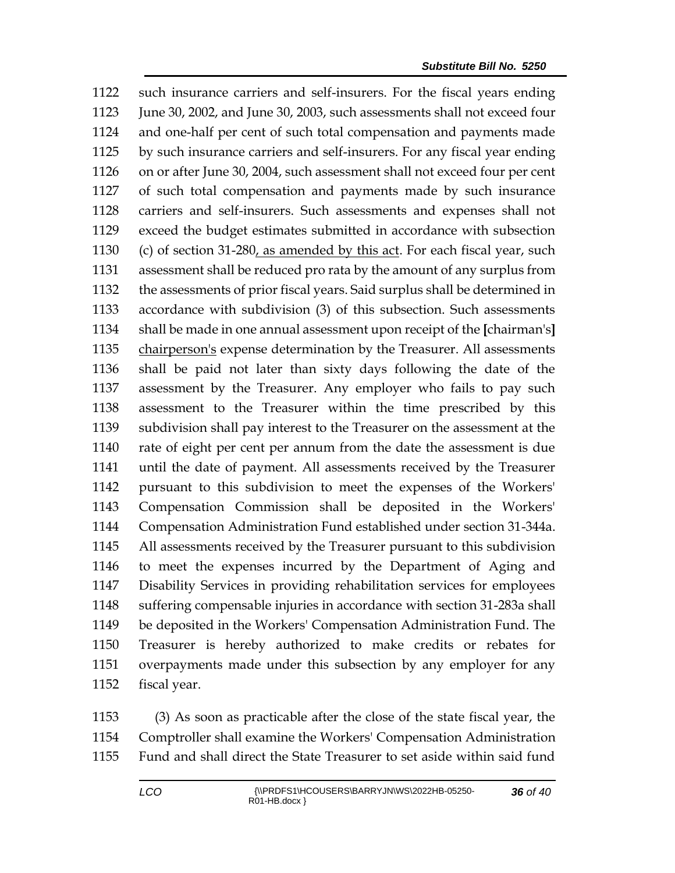such insurance carriers and self-insurers. For the fiscal years ending 1123 June 30, 2002, and June 30, 2003, such assessments shall not exceed four and one-half per cent of such total compensation and payments made by such insurance carriers and self-insurers. For any fiscal year ending on or after June 30, 2004, such assessment shall not exceed four per cent of such total compensation and payments made by such insurance carriers and self-insurers. Such assessments and expenses shall not exceed the budget estimates submitted in accordance with subsection (c) of section 31-280, as amended by this act. For each fiscal year, such assessment shall be reduced pro rata by the amount of any surplus from the assessments of prior fiscal years. Said surplus shall be determined in accordance with subdivision (3) of this subsection. Such assessments shall be made in one annual assessment upon receipt of the **[**chairman's**]** 1135 chairperson's expense determination by the Treasurer. All assessments shall be paid not later than sixty days following the date of the assessment by the Treasurer. Any employer who fails to pay such assessment to the Treasurer within the time prescribed by this subdivision shall pay interest to the Treasurer on the assessment at the rate of eight per cent per annum from the date the assessment is due until the date of payment. All assessments received by the Treasurer pursuant to this subdivision to meet the expenses of the Workers' Compensation Commission shall be deposited in the Workers' Compensation Administration Fund established under section 31-344a. All assessments received by the Treasurer pursuant to this subdivision to meet the expenses incurred by the Department of Aging and Disability Services in providing rehabilitation services for employees suffering compensable injuries in accordance with section 31-283a shall be deposited in the Workers' Compensation Administration Fund. The Treasurer is hereby authorized to make credits or rebates for overpayments made under this subsection by any employer for any fiscal year.

 (3) As soon as practicable after the close of the state fiscal year, the Comptroller shall examine the Workers' Compensation Administration Fund and shall direct the State Treasurer to set aside within said fund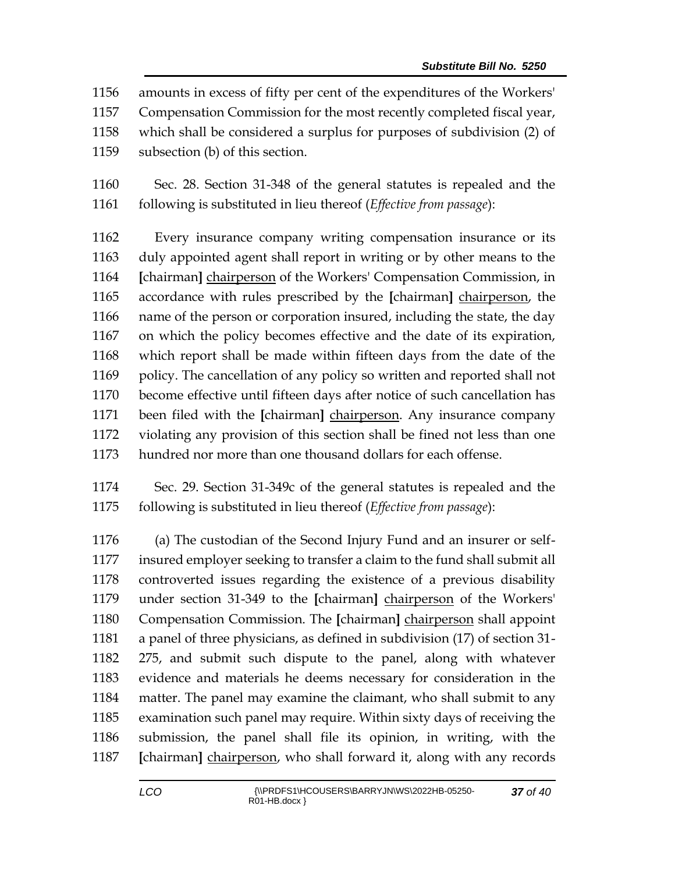amounts in excess of fifty per cent of the expenditures of the Workers'

Compensation Commission for the most recently completed fiscal year,

- which shall be considered a surplus for purposes of subdivision (2) of
- subsection (b) of this section.

 Sec. 28. Section 31-348 of the general statutes is repealed and the following is substituted in lieu thereof (*Effective from passage*):

 Every insurance company writing compensation insurance or its duly appointed agent shall report in writing or by other means to the **[**chairman**]** chairperson of the Workers' Compensation Commission, in accordance with rules prescribed by the **[**chairman**]** chairperson, the name of the person or corporation insured, including the state, the day on which the policy becomes effective and the date of its expiration, which report shall be made within fifteen days from the date of the policy. The cancellation of any policy so written and reported shall not become effective until fifteen days after notice of such cancellation has been filed with the **[**chairman**]** chairperson. Any insurance company violating any provision of this section shall be fined not less than one hundred nor more than one thousand dollars for each offense.

 Sec. 29. Section 31-349c of the general statutes is repealed and the following is substituted in lieu thereof (*Effective from passage*):

 (a) The custodian of the Second Injury Fund and an insurer or self- insured employer seeking to transfer a claim to the fund shall submit all controverted issues regarding the existence of a previous disability under section 31-349 to the **[**chairman**]** chairperson of the Workers' Compensation Commission. The **[**chairman**]** chairperson shall appoint a panel of three physicians, as defined in subdivision (17) of section 31- 275, and submit such dispute to the panel, along with whatever evidence and materials he deems necessary for consideration in the matter. The panel may examine the claimant, who shall submit to any examination such panel may require. Within sixty days of receiving the submission, the panel shall file its opinion, in writing, with the **[**chairman**]** chairperson, who shall forward it, along with any records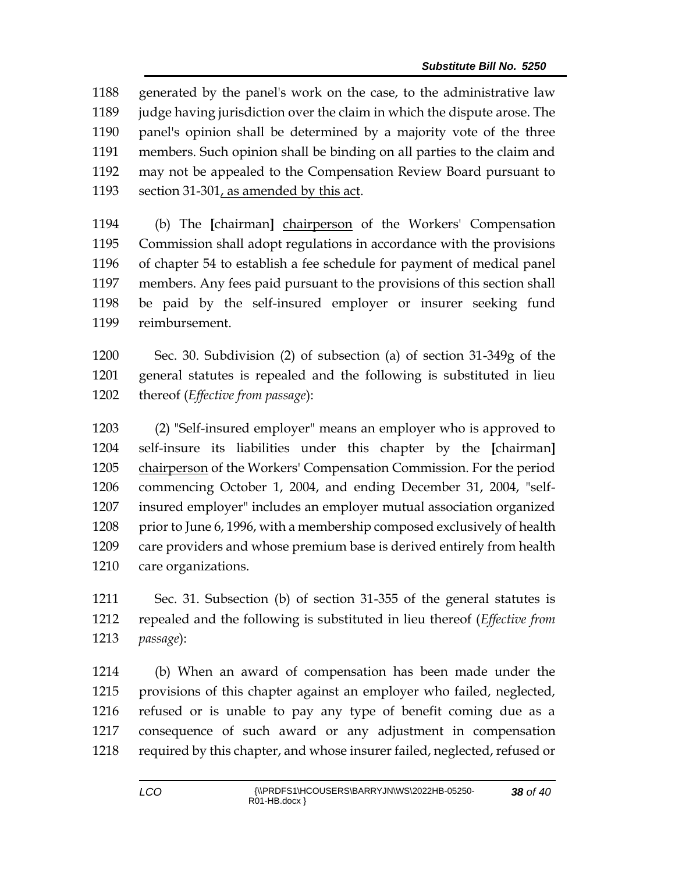generated by the panel's work on the case, to the administrative law judge having jurisdiction over the claim in which the dispute arose. The panel's opinion shall be determined by a majority vote of the three members. Such opinion shall be binding on all parties to the claim and may not be appealed to the Compensation Review Board pursuant to 1193 section 31-301, as amended by this act.

 (b) The **[**chairman**]** chairperson of the Workers' Compensation Commission shall adopt regulations in accordance with the provisions of chapter 54 to establish a fee schedule for payment of medical panel members. Any fees paid pursuant to the provisions of this section shall be paid by the self-insured employer or insurer seeking fund reimbursement.

 Sec. 30. Subdivision (2) of subsection (a) of section 31-349g of the general statutes is repealed and the following is substituted in lieu thereof (*Effective from passage*):

 (2) "Self-insured employer" means an employer who is approved to self-insure its liabilities under this chapter by the **[**chairman**]** chairperson of the Workers' Compensation Commission. For the period commencing October 1, 2004, and ending December 31, 2004, "self- insured employer" includes an employer mutual association organized 1208 prior to June 6, 1996, with a membership composed exclusively of health care providers and whose premium base is derived entirely from health care organizations.

 Sec. 31. Subsection (b) of section 31-355 of the general statutes is repealed and the following is substituted in lieu thereof (*Effective from passage*):

 (b) When an award of compensation has been made under the provisions of this chapter against an employer who failed, neglected, refused or is unable to pay any type of benefit coming due as a consequence of such award or any adjustment in compensation 1218 required by this chapter, and whose insurer failed, neglected, refused or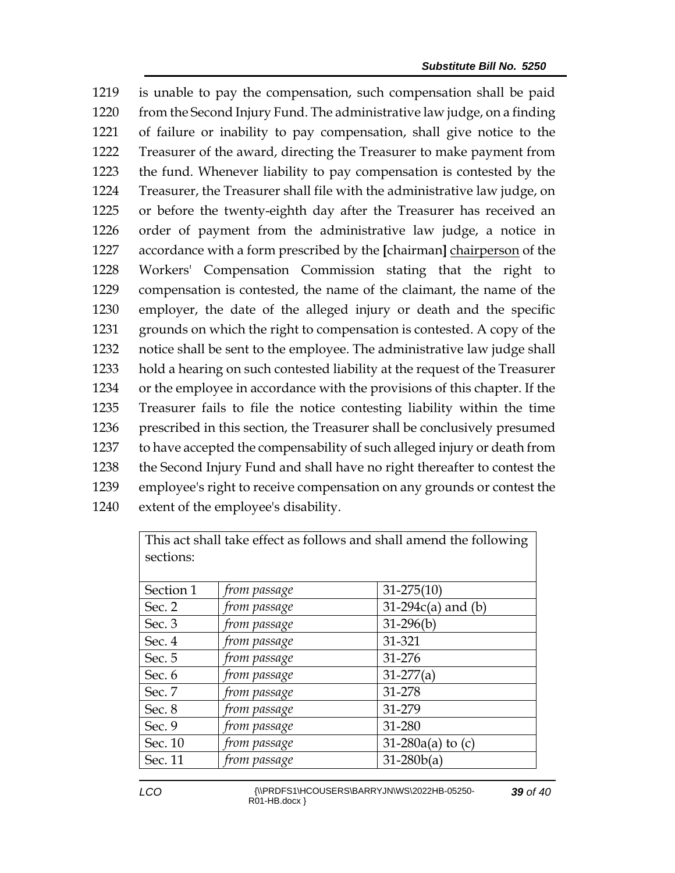is unable to pay the compensation, such compensation shall be paid 1220 from the Second Injury Fund. The administrative law judge, on a finding of failure or inability to pay compensation, shall give notice to the Treasurer of the award, directing the Treasurer to make payment from the fund. Whenever liability to pay compensation is contested by the Treasurer, the Treasurer shall file with the administrative law judge, on or before the twenty-eighth day after the Treasurer has received an order of payment from the administrative law judge, a notice in accordance with a form prescribed by the **[**chairman**]** chairperson of the Workers' Compensation Commission stating that the right to compensation is contested, the name of the claimant, the name of the employer, the date of the alleged injury or death and the specific grounds on which the right to compensation is contested. A copy of the notice shall be sent to the employee. The administrative law judge shall hold a hearing on such contested liability at the request of the Treasurer or the employee in accordance with the provisions of this chapter. If the Treasurer fails to file the notice contesting liability within the time prescribed in this section, the Treasurer shall be conclusively presumed to have accepted the compensability of such alleged injury or death from the Second Injury Fund and shall have no right thereafter to contest the employee's right to receive compensation on any grounds or contest the extent of the employee's disability.

| This act shall take effect as follows and shall amend the following<br>sections: |              |                      |  |
|----------------------------------------------------------------------------------|--------------|----------------------|--|
| Section 1                                                                        | from passage | $31 - 275(10)$       |  |
| Sec. 2                                                                           | from passage | $31-294c(a)$ and (b) |  |
| Sec. 3                                                                           | from passage | $31-296(b)$          |  |
| Sec. 4                                                                           | from passage | 31-321               |  |
| Sec. 5                                                                           | from passage | 31-276               |  |
| Sec. 6                                                                           | from passage | $31-277(a)$          |  |
| Sec. 7                                                                           | from passage | 31-278               |  |
| Sec. 8                                                                           | from passage | 31-279               |  |
| Sec. 9                                                                           | from passage | 31-280               |  |
| Sec. 10                                                                          | from passage | 31-280a(a) to $(c)$  |  |
| Sec. 11                                                                          | from passage | $31 - 280b(a)$       |  |